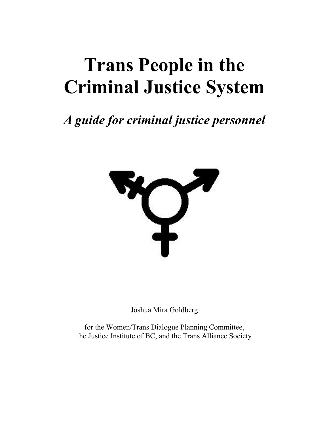# **Trans People in the Criminal Justice System**

# *A guide for criminal justice personnel*



Joshua Mira Goldberg

for the Women/Trans Dialogue Planning Committee, the Justice Institute of BC, and the Trans Alliance Society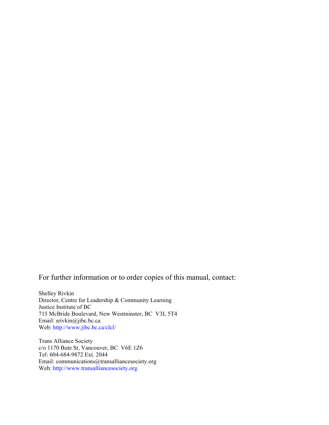For further information or to order copies of this manual, contact:

Shelley Rivkin Director, Centre for Leadership & Community Learning Justice Institute of BC 715 McBride Boulevard, New Westminster, BC V3L 5T4 Email: srivkin@jibc.bc.ca Web: <http://www.jibc.bc.ca/clcl/>

Trans Alliance Society c/o 1170 Bute St, Vancouver, BC V6E 1Z6 Tel: 604-684-9872 Ext. 2044 Email: communications@transalliancesociety.org Web: [http://www.transalliancesociety.org](http://www.transalliancesociety.org/)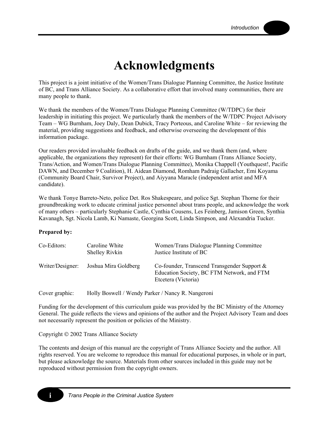# **Acknowledgments**

This project is a joint initiative of the Women/Trans Dialogue Planning Committee, the Justice Institute of BC, and Trans Alliance Society. As a collaborative effort that involved many communities, there are many people to thank.

We thank the members of the Women/Trans Dialogue Planning Committee (W/TDPC) for their leadership in initiating this project. We particularly thank the members of the W/TDPC Project Advisory Team – WG Burnham, Joey Daly, Dean Dubick, Tracy Porteous, and Caroline White – for reviewing the material, providing suggestions and feedback, and otherwise overseeing the development of this information package.

Our readers provided invaluable feedback on drafts of the guide, and we thank them (and, where applicable, the organizations they represent) for their efforts: WG Burnham (Trans Alliance Society, Trans/Action, and Women/Trans Dialogue Planning Committee), Monika Chappell (Youthquest!, Pacific DAWN, and December 9 Coalition), H. Aidean Diamond, Romham Padraig Gallacher, Emi Koyama (Community Board Chair, Survivor Project), and Aiyyana Maracle (independent artist and MFA candidate).

We thank Tonye Barreto-Neto, police Det. Ros Shakespeare, and police Sgt. Stephan Thorne for their groundbreaking work to educate criminal justice personnel about trans people, and acknowledge the work of many others – particularly Stephanie Castle, Cynthia Cousens, Les Feinberg, Jamison Green, Synthia Kavanagh, Sgt. Nicola Lamb, Ki Namaste, Georgina Scott, Linda Simpson, and Alexandria Tucker.

#### **Prepared by:**

**i** 

| Co-Editors:      | Caroline White<br>Shelley Rivkin | Women/Trans Dialogue Planning Committee<br>Justice Institute of BC                                                  |
|------------------|----------------------------------|---------------------------------------------------------------------------------------------------------------------|
| Writer/Designer: | Joshua Mira Goldberg             | Co-founder, Transcend Transgender Support $\&$<br>Education Society, BC FTM Network, and FTM<br>Etcetera (Victoria) |

Cover graphic: Holly Boswell / Wendy Parker / Nancy R. Nangeroni

Funding for the development of this curriculum guide was provided by the BC Ministry of the Attorney General. The guide reflects the views and opinions of the author and the Project Advisory Team and does not necessarily represent the position or policies of the Ministry.

Copyright © 2002 Trans Alliance Society

The contents and design of this manual are the copyright of Trans Alliance Society and the author. All rights reserved. You are welcome to reproduce this manual for educational purposes, in whole or in part, but please acknowledge the source. Materials from other sources included in this guide may not be reproduced without permission from the copyright owners.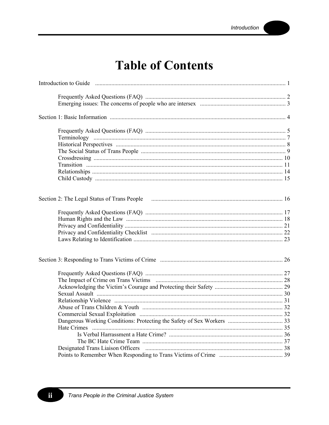# **Table of Contents**

| Introduction to Guide <i>manufacture contained a contained a contained a contained a contained a contained a contained a contained a contained a contained a contained a contained a contained a contained a contained a contain</i> |  |
|--------------------------------------------------------------------------------------------------------------------------------------------------------------------------------------------------------------------------------------|--|
|                                                                                                                                                                                                                                      |  |
|                                                                                                                                                                                                                                      |  |
|                                                                                                                                                                                                                                      |  |
|                                                                                                                                                                                                                                      |  |
|                                                                                                                                                                                                                                      |  |
|                                                                                                                                                                                                                                      |  |
|                                                                                                                                                                                                                                      |  |
|                                                                                                                                                                                                                                      |  |
|                                                                                                                                                                                                                                      |  |
|                                                                                                                                                                                                                                      |  |
|                                                                                                                                                                                                                                      |  |
| Section 2: The Legal Status of Trans People (2008) 2.0 million and the US and the US and the US and the US and the US and the US and the US and the US and the US and the US and the US and the US and the US and the US and t       |  |
|                                                                                                                                                                                                                                      |  |
|                                                                                                                                                                                                                                      |  |
|                                                                                                                                                                                                                                      |  |
|                                                                                                                                                                                                                                      |  |
|                                                                                                                                                                                                                                      |  |
|                                                                                                                                                                                                                                      |  |
|                                                                                                                                                                                                                                      |  |
|                                                                                                                                                                                                                                      |  |
|                                                                                                                                                                                                                                      |  |
|                                                                                                                                                                                                                                      |  |
|                                                                                                                                                                                                                                      |  |
|                                                                                                                                                                                                                                      |  |
|                                                                                                                                                                                                                                      |  |
|                                                                                                                                                                                                                                      |  |
|                                                                                                                                                                                                                                      |  |
|                                                                                                                                                                                                                                      |  |
|                                                                                                                                                                                                                                      |  |
|                                                                                                                                                                                                                                      |  |
|                                                                                                                                                                                                                                      |  |

ii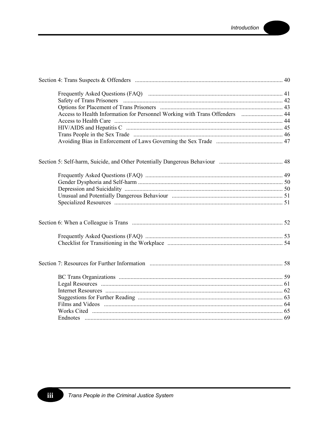| Access to Health Information for Personnel Working with Trans Offenders  44 |  |
|-----------------------------------------------------------------------------|--|
|                                                                             |  |
|                                                                             |  |
|                                                                             |  |
|                                                                             |  |
|                                                                             |  |
|                                                                             |  |
|                                                                             |  |
|                                                                             |  |
|                                                                             |  |
|                                                                             |  |
|                                                                             |  |
|                                                                             |  |
|                                                                             |  |
|                                                                             |  |
|                                                                             |  |
|                                                                             |  |
|                                                                             |  |
|                                                                             |  |
|                                                                             |  |
|                                                                             |  |
|                                                                             |  |

iii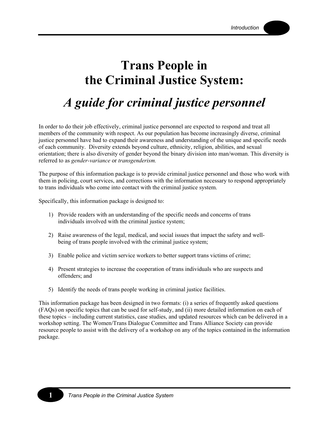# **Trans People in the Criminal Justice System:**

# *A guide for criminal justice personnel*

In order to do their job effectively, criminal justice personnel are expected to respond and treat all members of the community with respect. As our population has become increasingly diverse, criminal justice personnel have had to expand their awareness and understanding of the unique and specific needs of each community. Diversity extends beyond culture, ethnicity, religion, abilities, and sexual orientation; there is also diversity of gender beyond the binary division into man/woman. This diversity is referred to as *gender-variance* or *transgenderism.*

The purpose of this information package is to provide criminal justice personnel and those who work with them in policing, court services, and corrections with the information necessary to respond appropriately to trans individuals who come into contact with the criminal justice system.

Specifically, this information package is designed to:

- 1) Provide readers with an understanding of the specific needs and concerns of trans individuals involved with the criminal justice system;
- 2) Raise awareness of the legal, medical, and social issues that impact the safety and wellbeing of trans people involved with the criminal justice system;
- 3) Enable police and victim service workers to better support trans victims of crime;
- 4) Present strategies to increase the cooperation of trans individuals who are suspects and offenders; and
- 5) Identify the needs of trans people working in criminal justice facilities.

This information package has been designed in two formats: (i) a series of frequently asked questions (FAQs) on specific topics that can be used for self-study, and (ii) more detailed information on each of these topics – including current statistics, case studies, and updated resources which can be delivered in a workshop setting. The Women/Trans Dialogue Committee and Trans Alliance Society can provide resource people to assist with the delivery of a workshop on any of the topics contained in the information package.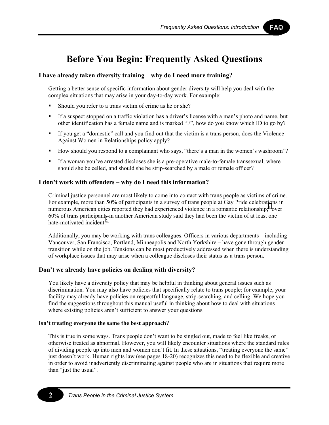FAQ

## **Before You Begin: Frequently Asked Questions**

## **I have already taken diversity training – why do I need more training?**

Getting a better sense of specific information about gender diversity will help you deal with the complex situations that may arise in your day-to-day work. For example:

- Should you refer to a trans victim of crime as he or she?
- If a suspect stopped on a traffic violation has a driver's license with a man's photo and name, but other identification has a female name and is marked "F", how do you know which ID to go by?
- If you get a "domestic" call and you find out that the victim is a trans person, does the Violence Against Women in Relationships policy apply?
- How should you respond to a complainant who says, "there's a man in the women's washroom"?
- If a woman you've arrested discloses she is a pre-operative male-to-female transsexual, where should she be celled, and should she be strip-searched by a male or female officer?

### **I don't work with offenders – why do I need this information?**

Criminal justice personnel are most likely to come into contact with trans people as victims of crime. For example, more than 50% of participants in a survey of trans people at Gay Pride celebrat[io](#page-77-0)ns in numerous American cities reported they had experienced violence in a romantic relationship;<sup>1</sup> over 60% of trans participant[s](#page-77-0) in another American study said they had been the victim of at least one hate-motivated incident $<sup>2</sup>$ </sup>

Additionally, you may be working with trans colleagues. Officers in various departments – including Vancouver, San Francisco, Portland, Minneapolis and North Yorkshire – have gone through gender transition while on the job. Tensions can be most productively addressed when there is understanding of workplace issues that may arise when a colleague discloses their status as a trans person.

## **Don't we already have policies on dealing with diversity?**

You likely have a diversity policy that may be helpful in thinking about general issues such as discrimination. You may also have policies that specifically relate to trans people; for example, your facility may already have policies on respectful language, strip-searching, and celling. We hope you find the suggestions throughout this manual useful in thinking about how to deal with situations where existing policies aren't sufficient to answer your questions.

#### **Isn't treating everyone the same the best approach?**

This is true in some ways. Trans people don't want to be singled out, made to feel like freaks, or otherwise treated as abnormal. However, you will likely encounter situations where the standard rules of dividing people up into men and women don't fit. In these situations, "treating everyone the same" just doesn't work. Human rights law (see pages 18-20) recognizes this need to be flexible and creative in order to avoid inadvertently discriminating against people who are in situations that require more than "just the usual".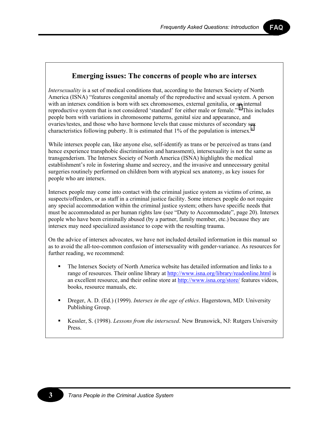FAQ

## **Emerging issues: The concerns of people who are intersex**

*Intersexuality* is a set of medical conditions that, according to the Intersex Society of North America (ISNA) "features congenital anomaly of the reproductive and sexual system. A person with an intersex condition is born with sex chromosomes, external genitalia, or a[n](#page-77-0) internal reproductive system that is not considered 'standard' for either male or female."<sup>3</sup> This includes people born with variations in chromosome patterns, genital size and appearance, and ovaries/testes, and those who have hormone levels that cause mixtures of secondary s[ex](#page-77-0) characteristics following puberty. It is estimated that 1% of the population is intersex.<sup>4</sup>

While intersex people can, like anyone else, self-identify as trans or be perceived as trans (and hence experience transphobic discrimination and harassment), intersexuality is not the same as transgenderism. The Intersex Society of North America (ISNA) highlights the medical establishment's role in fostering shame and secrecy, and the invasive and unnecessary genital surgeries routinely performed on children born with atypical sex anatomy, as key issues for people who are intersex.

Intersex people may come into contact with the criminal justice system as victims of crime, as suspects/offenders, or as staff in a criminal justice facility. Some intersex people do not require any special accommodation within the criminal justice system; others have specific needs that must be accommodated as per human rights law (see "Duty to Accommodate", page 20). Intersex people who have been criminally abused (by a partner, family member, etc.) because they are intersex may need specialized assistance to cope with the resulting trauma.

On the advice of intersex advocates, we have not included detailed information in this manual so as to avoid the all-too-common confusion of intersexuality with gender-variance. As resources for further reading, we recommend:

- The Intersex Society of North America website has detailed information and links to a range of resources. Their online library at <http://www.isna.org/library/readonline.html>is an excellent resource, and their online store at <http://www.isna.org/store/>features videos, books, resource manuals, etc.
- Dreger, A. D. (Ed.) (1999). *Intersex in the age of ethics*. Hagerstown, MD: University Publishing Group.
- Kessler, S. (1998). *Lessons from the intersexed*. New Brunswick, NJ: Rutgers University Press.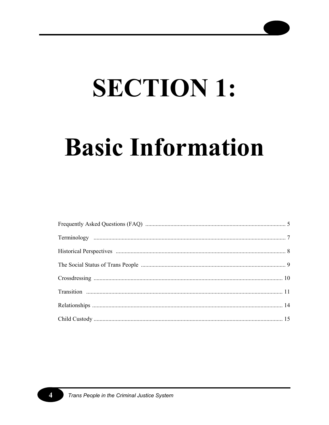# **SECTION 1:**

# **Basic Information**

4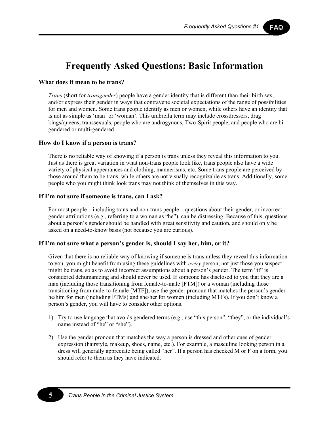FAQ

## **Frequently Asked Questions: Basic Information**

#### **What does it mean to be trans?**

*Trans* (short for *transgender*) people have a gender identity that is different than their birth sex, and/or express their gender in ways that contravene societal expectations of the range of possibilities for men and women. Some trans people identify as men or women, while others have an identity that is not as simple as 'man' or 'woman'. This umbrella term may include crossdressers, drag kings/queens, transsexuals, people who are androgynous, Two-Spirit people, and people who are bigendered or multi-gendered.

#### **How do I know if a person is trans?**

There is no reliable way of knowing if a person is trans unless they reveal this information to you. Just as there is great variation in what non-trans people look like, trans people also have a wide variety of physical appearances and clothing, mannerisms, etc. Some trans people are perceived by those around them to be trans, while others are not visually recognizable as trans. Additionally, some people who you might think look trans may not think of themselves in this way.

### **If I'm not sure if someone is trans, can I ask?**

For most people – including trans and non-trans people – questions about their gender, or incorrect gender attributions (e.g., referring to a woman as "he"), can be distressing. Because of this, questions about a person's gender should be handled with great sensitivity and caution, and should only be asked on a need-to-know basis (not because you are curious).

#### **If I'm not sure what a person's gender is, should I say her, him, or it?**

Given that there is no reliable way of knowing if someone is trans unless they reveal this information to you, you might benefit from using these guidelines with *every* person, not just those you suspect might be trans, so as to avoid incorrect assumptions about a person's gender. The term "it" is considered dehumanizing and should never be used. If someone has disclosed to you that they are a man (including those transitioning from female-to-male [FTM]) or a woman (including those transitioning from male-to-female [MTF]), use the gender pronoun that matches the person's gender – he/him for men (including FTMs) and she/her for women (including MTFs). If you don't know a person's gender, you will have to consider other options.

- 1) Try to use language that avoids gendered terms (e.g., use "this person", "they", or the individual's name instead of "he" or "she").
- 2) Use the gender pronoun that matches the way a person is dressed and other cues of gender expression (hairstyle, makeup, shoes, name, etc.). For example, a masculine looking person in a dress will generally appreciate being called "her". If a person has checked M or F on a form, you should refer to them as they have indicated.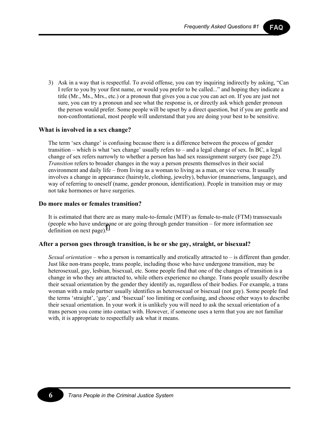FAQ

3) Ask in a way that is respectful. To avoid offense, you can try inquiring indirectly by asking, "Can I refer to you by your first name, or would you prefer to be called..." and hoping they indicate a title (Mr., Ms., Mrs., etc.) or a pronoun that gives you a cue you can act on. If you are just not sure, you can try a pronoun and see what the response is, or directly ask which gender pronoun the person would prefer. Some people will be upset by a direct question, but if you are gentle and non-confrontational, most people will understand that you are doing your best to be sensitive.

#### **What is involved in a sex change?**

The term 'sex change' is confusing because there is a difference between the process of gender transition – which is what 'sex change' usually refers to – and a legal change of sex. In BC, a legal change of sex refers narrowly to whether a person has had sex reassignment surgery (see page 25). *Transition* refers to broader changes in the way a person presents themselves in their social environment and daily life – from living as a woman to living as a man, or vice versa. It usually involves a change in appearance (hairstyle, clothing, jewelry), behavior (mannerisms, language), and way of referring to oneself (name, gender pronoun, identification). People in transition may or may not take hormones or have surgeries.

#### **Do more males or females transition?**

It is estimated that there are as many male-to-female (MTF) as female-to-male (FTM) transsexuals (people who have under[go](#page-77-0)ne or are going through gender transition – for more information see definition on next page). $\frac{5}{5}$ 

#### **After a person goes through transition, is he or she gay, straight, or bisexual?**

*Sexual orientation* – who a person is romantically and erotically attracted to – is different than gender. Just like non-trans people, trans people, including those who have undergone transition, may be heterosexual, gay, lesbian, bisexual, etc. Some people find that one of the changes of transition is a change in who they are attracted to, while others experience no change. Trans people usually describe their sexual orientation by the gender they identify as, regardless of their bodies. For example, a trans woman with a male partner usually identifies as heterosexual or bisexual (not gay). Some people find the terms 'straight', 'gay', and 'bisexual' too limiting or confusing, and choose other ways to describe their sexual orientation. In your work it is unlikely you will need to ask the sexual orientation of a trans person you come into contact with. However, if someone uses a term that you are not familiar with, it is appropriate to respectfully ask what it means.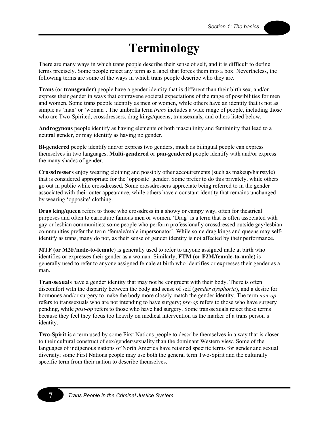# **Terminology**

There are many ways in which trans people describe their sense of self, and it is difficult to define terms precisely. Some people reject any term as a label that forces them into a box. Nevertheless, the following terms are some of the ways in which trans people describe who they are.

**Trans** (or **transgender**) people have a gender identity that is different than their birth sex, and/or express their gender in ways that contravene societal expectations of the range of possibilities for men and women. Some trans people identify as men or women, while others have an identity that is not as simple as 'man' or 'woman'. The umbrella term *trans* includes a wide range of people, including those who are Two-Spirited, crossdressers, drag kings/queens, transsexuals, and others listed below.

**Androgynous** people identify as having elements of both masculinity and femininity that lead to a neutral gender, or may identify as having no gender.

**Bi-gendered** people identify and/or express two genders, much as bilingual people can express themselves in two languages. **Multi-gendered** or **pan-gendered** people identify with and/or express the many shades of gender.

**Crossdressers** enjoy wearing clothing and possibly other accoutrements (such as makeup/hairstyle) that is considered appropriate for the 'opposite' gender. Some prefer to do this privately, while others go out in public while crossdressed. Some crossdressers appreciate being referred to in the gender associated with their outer appearance, while others have a constant identity that remains unchanged by wearing 'opposite' clothing.

**Drag king/queen** refers to those who crossdress in a showy or campy way, often for theatrical purposes and often to caricature famous men or women. 'Drag' is a term that is often associated with gay or lesbian communities; some people who perform professionally crossdressed outside gay/lesbian communities prefer the term 'female/male impersonator'. While some drag kings and queens may selfidentify as trans, many do not, as their sense of gender identity is not affected by their performance.

**MTF (or M2F/male-to-female**) is generally used to refer to anyone assigned male at birth who identifies or expresses their gender as a woman. Similarly, **FTM (or F2M/female-to-male**) is generally used to refer to anyone assigned female at birth who identifies or expresses their gender as a man.

**Transsexuals** have a gender identity that may not be congruent with their body. There is often discomfort with the disparity between the body and sense of self (*gender dysphoria*), and a desire for hormones and/or surgery to make the body more closely match the gender identity. The term *non-op* refers to transsexuals who are not intending to have surgery; *pre-op* refers to those who have surgery pending, while *post-op* refers to those who have had surgery. Some transsexuals reject these terms because they feel they focus too heavily on medical intervention as the marker of a trans person's identity.

**Two-Spirit** is a term used by some First Nations people to describe themselves in a way that is closer to their cultural construct of sex/gender/sexuality than the dominant Western view. Some of the languages of indigenous nations of North America have retained specific terms for gender and sexual diversity; some First Nations people may use both the general term Two-Spirit and the culturally specific term from their nation to describe themselves.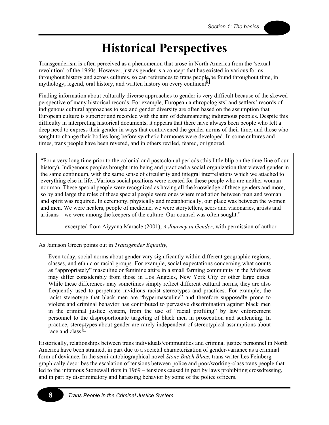## **Historical Perspectives**

Transgenderism is often perceived as a phenomenon that arose in North America from the 'sexual revolution' of the 1960s. However, just as gender is a concept that has existed in various forms throughout history and across cultures, so can references to trans peopl[e](#page-77-0) be found throughout time, in mythology, legend, oral history, and written history on every continent<sup>6</sup>.

Finding information about culturally diverse approaches to gender is very difficult because of the skewed perspective of many historical records. For example, European anthropologists' and settlers' records of indigenous cultural approaches to sex and gender diversity are often based on the assumption that European culture is superior and recorded with the aim of dehumanizing indigenous peoples. Despite this difficulty in interpreting historical documents, it appears that there have always been people who felt a deep need to express their gender in ways that contravened the gender norms of their time, and those who sought to change their bodies long before synthetic hormones were developed. In some cultures and times, trans people have been revered, and in others reviled, feared, or ignored.

"For a very long time prior to the colonial and postcolonial periods (this little blip on the time-line of our history), Indigenous peoples brought into being and practiced a social organization that viewed gender in the same continuum, with the same sense of circularity and integral interrelations which we attached to everything else in life...Various social positions were created for these people who are neither woman nor man. These special people were recognized as having all the knowledge of these genders and more, so by and large the roles of these special people were ones where mediation between man and woman and spirit was required. In ceremony, physically and metaphorically, our place was between the women and men. We were healers, people of medicine, we were storytellers, seers and visionaries, artists and artisans – we were among the keepers of the culture. Our counsel was often sought."

- excerpted from Aiyyana Maracle (2001), *A Journey in Gender*, with permission of author

As Jamison Green points out in *Transgender Equality*,

Even today, social norms about gender vary significantly within different geographic regions, classes, and ethnic or racial groups. For example, social expectations concerning what counts as "appropriately" masculine or feminine attire in a small farming community in the Midwest may differ considerably from those in Los Angeles, New York City or other large cities. While these differences may sometimes simply reflect different cultural norms, they are also frequently used to perpetuate invidious racist stereotypes and practices. For example, the racist stereotype that black men are "hypermasculine" and therefore supposedly prone to violent and criminal behavior has contributed to pervasive discrimination against black men in the criminal justice system, from the use of "racial profiling" by law enforcement personnel to the disproportionate targeting of black men in prosecution and sentencing. In practice, stereotypes about gender are rarely independent of stereotypical assumptions about race and class.<sup>[7](#page-77-0)</sup>

Historically, relationships between trans individuals/communities and criminal justice personnel in North America have been strained, in part due to a societal characterization of gender-variance as a criminal form of deviance. In the semi-autobiographical novel *Stone Butch Blues*, trans writer Les Feinberg graphically describes the escalation of tensions between police and poor/working-class trans people that led to the infamous Stonewall riots in 1969 – tensions caused in part by laws prohibiting crossdressing, and in part by discriminatory and harassing behavior by some of the police officers.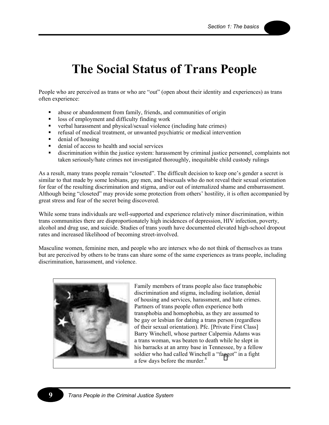## **The Social Status of Trans People**

People who are perceived as trans or who are "out" (open about their identity and experiences) as trans often experience:

- abuse or abandonment from family, friends, and communities of origin
- loss of employment and difficulty finding work
- verbal harassment and physical/sexual violence (including hate crimes)
- refusal of medical treatment, or unwanted psychiatric or medical intervention
- **denial of housing**
- denial of access to health and social services
- discrimination within the justice system: harassment by criminal justice personnel, complaints not taken seriously/hate crimes not investigated thoroughly, inequitable child custody rulings

As a result, many trans people remain "closeted". The difficult decision to keep one's gender a secret is similar to that made by some lesbians, gay men, and bisexuals who do not reveal their sexual orientation for fear of the resulting discrimination and stigma, and/or out of internalized shame and embarrassment. Although being "closeted" may provide some protection from others' hostility, it is often accompanied by great stress and fear of the secret being discovered.

While some trans individuals are well-supported and experience relatively minor discrimination, within trans communities there are disproportionately high incidences of depression, HIV infection, poverty, alcohol and drug use, and suicide. Studies of trans youth have documented elevated high-school dropout rates and increased likelihood of becoming street-involved.

Masculine women, feminine men, and people who are intersex who do not think of themselves as trans but are perceived by others to be trans can share some of the same experiences as trans people, including discrimination, harassment, and violence.



Family members of trans people also face transphobic discrimination and stigma, including isolation, denial of housing and services, harassment, and hate crimes. Partners of trans people often experience both transphobia and homophobia, as they are assumed to be gay or lesbian for dating a trans person (regardless of their sexual orientation). Pfc. [Private First Class] Barry Winchell, whose partner Calpernia Adams was a trans woman, was beaten to death while he slept in his barracks at an army base in Tennessee, by a fellow soldier who had called Winchell a "fa[gg](#page-77-0)ot" in a fight a few days before the murder.<sup>8</sup>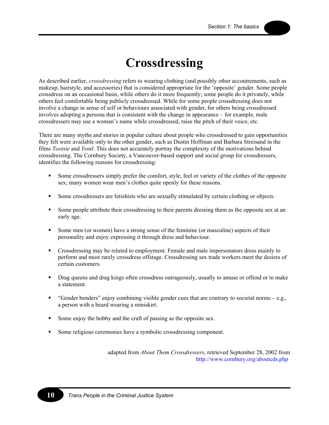# **Crossdressing**

As described earlier, *crossdressing* refers to wearing clothing (and possibly other accoutrements, such as makeup, hairstyle, and accessories) that is considered appropriate for the 'opposite' gender. Some people crossdress on an occasional basis, while others do it more frequently; some people do it privately, while others feel comfortable being publicly crossdressed. While for some people crossdressing does not involve a change in sense of self or behaviours associated with gender, for others being crossdressed involves adopting a persona that is consistent with the change in appearance – for example, male crossdressers may use a woman's name while crossdressed, raise the pitch of their voice, etc.

There are many myths and stories in popular culture about people who crossdressed to gain opportunities they felt were available only to the other gender, such as Dustin Hoffman and Barbara Streisand in the films *Tootsie* and *Yentl*. This does not accurately portray the complexity of the motivations behind crossdressing. The Cornbury Society, a Vancouver-based support and social group for crossdressers, identifies the following reasons for crossdressing:

- Some crossdressers simply prefer the comfort, style, feel or variety of the clothes of the opposite sex; many women wear men's clothes quite openly for these reasons.
- Some crossdressers are fetishists who are sexually stimulated by certain clothing or objects.
- Some people attribute their crossdressing to their parents dressing them as the opposite sex at an early age.
- Some men (or women) have a strong sense of the feminine (or masculine) aspects of their personality and enjoy expressing it through dress and behaviour.
- Crossdressing may be related to employment. Female and male impersonators dress mainly to perform and most rarely crossdress offstage. Crossdressing sex trade workers meet the desires of certain customers.
- **•** Drag queens and drag kings often crossdress outrageously, usually to amuse or offend or to make a statement.
- " "Gender benders" enjoy combining visible gender cues that are contrary to societal norms e.g., a person with a beard wearing a miniskirt.
- Some enjoy the hobby and the craft of passing as the opposite sex.
- Some religious ceremonies have a symbolic crossdressing component.

adapted from *About Them Crossdressers*, retrieved September 28, 2002 from [http://www.cornbury.org/aboutcds.](http://www.cornbury.org/aboutcds.php)php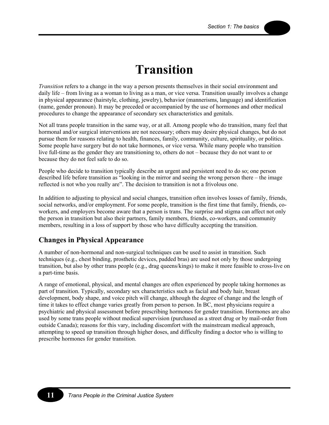## **Transition**

*Transition* refers to a change in the way a person presents themselves in their social environment and daily life – from living as a woman to living as a man, or vice versa. Transition usually involves a change in physical appearance (hairstyle, clothing, jewelry), behavior (mannerisms, language) and identification (name, gender pronoun). It may be preceded or accompanied by the use of hormones and other medical procedures to change the appearance of secondary sex characteristics and genitals.

Not all trans people transition in the same way, or at all. Among people who do transition, many feel that hormonal and/or surgical interventions are not necessary; others may desire physical changes, but do not pursue them for reasons relating to health, finances, family, community, culture, spirituality, or politics. Some people have surgery but do not take hormones, or vice versa. While many people who transition live full-time as the gender they are transitioning to, others do not – because they do not want to or because they do not feel safe to do so.

People who decide to transition typically describe an urgent and persistent need to do so; one person described life before transition as "looking in the mirror and seeing the wrong person there – the image reflected is not who you really are". The decision to transition is not a frivolous one.

In addition to adjusting to physical and social changes, transition often involves losses of family, friends, social networks, and/or employment. For some people, transition is the first time that family, friends, coworkers, and employers become aware that a person is trans. The surprise and stigma can affect not only the person in transition but also their partners, family members, friends, co-workers, and community members, resulting in a loss of support by those who have difficulty accepting the transition.

## **Changes in Physical Appearance**

A number of non-hormonal and non-surgical techniques can be used to assist in transition. Such techniques (e.g., chest binding, prosthetic devices, padded bras) are used not only by those undergoing transition, but also by other trans people (e.g., drag queens/kings) to make it more feasible to cross-live on a part-time basis.

A range of emotional, physical, and mental changes are often experienced by people taking hormones as part of transition. Typically, secondary sex characteristics such as facial and body hair, breast development, body shape, and voice pitch will change, although the degree of change and the length of time it takes to effect change varies greatly from person to person. In BC, most physicians require a psychiatric and physical assessment before prescribing hormones for gender transition. Hormones are also used by some trans people without medical supervision (purchased as a street drug or by mail-order from outside Canada); reasons for this vary, including discomfort with the mainstream medical approach, attempting to speed up transition through higher doses, and difficulty finding a doctor who is willing to prescribe hormones for gender transition.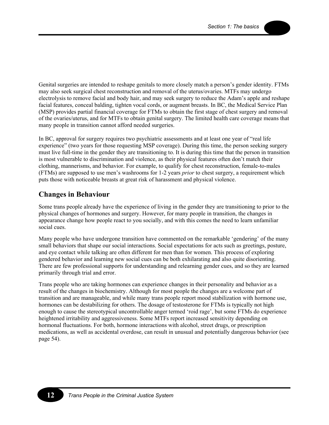Genital surgeries are intended to reshape genitals to more closely match a person's gender identity. FTMs may also seek surgical chest reconstruction and removal of the uterus/ovaries. MTFs may undergo electrolysis to remove facial and body hair, and may seek surgery to reduce the Adam's apple and reshape facial features, conceal balding, tighten vocal cords, or augment breasts. In BC, the Medical Service Plan (MSP) provides partial financial coverage for FTMs to obtain the first stage of chest surgery and removal of the ovaries/uterus, and for MTFs to obtain genital surgery. The limited health care coverage means that many people in transition cannot afford needed surgeries.

In BC, approval for surgery requires two psychiatric assessments and at least one year of "real life experience" (two years for those requesting MSP coverage). During this time, the person seeking surgery must live full-time in the gender they are transitioning to. It is during this time that the person in transition is most vulnerable to discrimination and violence, as their physical features often don't match their clothing, mannerisms, and behavior. For example, to qualify for chest reconstruction, female-to-males (FTMs) are supposed to use men's washrooms for 1-2 years *prior* to chest surgery, a requirement which puts those with noticeable breasts at great risk of harassment and physical violence.

## **Changes in Behaviour**

Some trans people already have the experience of living in the gender they are transitioning to prior to the physical changes of hormones and surgery. However, for many people in transition, the changes in appearance change how people react to you socially, and with this comes the need to learn unfamiliar social cues.

Many people who have undergone transition have commented on the remarkable 'gendering' of the many small behaviors that shape our social interactions. Social expectations for acts such as greetings, posture, and eye contact while talking are often different for men than for women. This process of exploring gendered behavior and learning new social cues can be both exhilarating and also quite disorienting. There are few professional supports for understanding and relearning gender cues, and so they are learned primarily through trial and error.

Trans people who are taking hormones can experience changes in their personality and behavior as a result of the changes in biochemistry. Although for most people the changes are a welcome part of transition and are manageable, and while many trans people report mood stabilization with hormone use, hormones can be destabilizing for others. The dosage of testosterone for FTMs is typically not high enough to cause the stereotypical uncontrollable anger termed 'roid rage', but some FTMs do experience heightened irritability and aggressiveness. Some MTFs report increased sensitivity depending on hormonal fluctuations. For both, hormone interactions with alcohol, street drugs, or prescription medications, as well as accidental overdose, can result in unusual and potentially dangerous behavior (see page 54).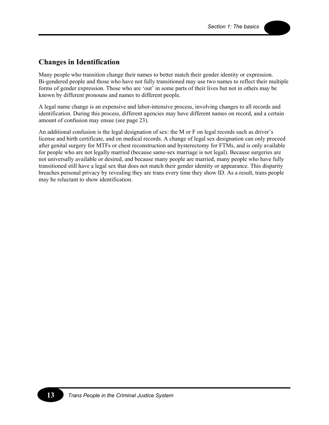## **Changes in Identification**

Many people who transition change their names to better match their gender identity or expression. Bi-gendered people and those who have not fully transitioned may use two names to reflect their multiple forms of gender expression. Those who are 'out' in some parts of their lives but not in others may be known by different pronouns and names to different people.

A legal name change is an expensive and labor-intensive process, involving changes to all records and identification. During this process, different agencies may have different names on record, and a certain amount of confusion may ensue (see page 23).

An additional confusion is the legal designation of sex: the M or F on legal records such as driver's license and birth certificate, and on medical records. A change of legal sex designation can only proceed after genital surgery for MTFs or chest reconstruction and hysterectomy for FTMs, and is only available for people who are not legally married (because same-sex marriage is not legal). Because surgeries are not universally available or desired, and because many people are married, many people who have fully transitioned still have a legal sex that does not match their gender identity or appearance. This disparity breaches personal privacy by revealing they are trans every time they show ID. As a result, trans people may be reluctant to show identification.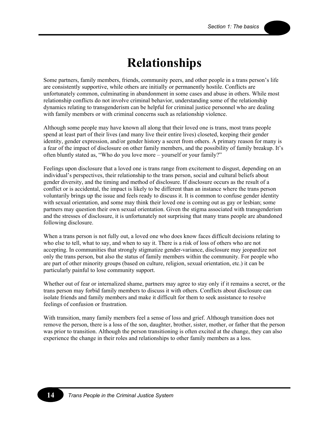## **Relationships**

Some partners, family members, friends, community peers, and other people in a trans person's life are consistently supportive, while others are initially or permanently hostile. Conflicts are unfortunately common, culminating in abandonment in some cases and abuse in others. While most relationship conflicts do not involve criminal behavior, understanding some of the relationship dynamics relating to transgenderism can be helpful for criminal justice personnel who are dealing with family members or with criminal concerns such as relationship violence.

Although some people may have known all along that their loved one is trans, most trans people spend at least part of their lives (and many live their entire lives) closeted, keeping their gender identity, gender expression, and/or gender history a secret from others. A primary reason for many is a fear of the impact of disclosure on other family members, and the possibility of family breakup. It's often bluntly stated as, "Who do you love more – yourself or your family?"

Feelings upon disclosure that a loved one is trans range from excitement to disgust, depending on an individual's perspectives, their relationship to the trans person, social and cultural beliefs about gender diversity, and the timing and method of disclosure. If disclosure occurs as the result of a conflict or is accidental, the impact is likely to be different than an instance where the trans person voluntarily brings up the issue and feels ready to discuss it. It is common to confuse gender identity with sexual orientation, and some may think their loved one is coming out as gay or lesbian; some partners may question their own sexual orientation. Given the stigma associated with transgenderism and the stresses of disclosure, it is unfortunately not surprising that many trans people are abandoned following disclosure.

When a trans person is not fully out, a loved one who does know faces difficult decisions relating to who else to tell, what to say, and when to say it. There is a risk of loss of others who are not accepting. In communities that strongly stigmatize gender-variance, disclosure may jeopardize not only the trans person, but also the status of family members within the community. For people who are part of other minority groups (based on culture, religion, sexual orientation, etc.) it can be particularly painful to lose community support.

Whether out of fear or internalized shame, partners may agree to stay only if it remains a secret, or the trans person may forbid family members to discuss it with others. Conflicts about disclosure can isolate friends and family members and make it difficult for them to seek assistance to resolve feelings of confusion or frustration.

With transition, many family members feel a sense of loss and grief. Although transition does not remove the person, there is a loss of the son, daughter, brother, sister, mother, or father that the person was prior to transition. Although the person transitioning is often excited at the change, they can also experience the change in their roles and relationships to other family members as a loss.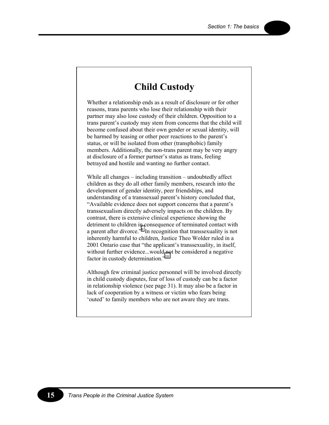## **Child Custody**

Whether a relationship ends as a result of disclosure or for other reasons, trans parents who lose their relationship with their partner may also lose custody of their children. Opposition to a trans parent's custody may stem from concerns that the child will become confused about their own gender or sexual identity, will be harmed by teasing or other peer reactions to the parent's status, or will be isolated from other (transphobic) family members. Additionally, the non-trans parent may be very angry at disclosure of a former partner's status as trans, feeling betrayed and hostile and wanting no further contact.

While all changes – including transition – undoubtedly affect children as they do all other family members, research into the development of gender identity, peer friendships, and understanding of a transsexual parent's history concluded that, "Available evidence does not support concerns that a parent's transsexualism directly adversely impacts on the children. By contrast, there is extensive clinical experience showing the detriment to children in consequence of terminated contact with a parent after divorce."<sup>9</sup> In recognition that transsexuality is not inherently harmful to children, Justice Theo Wolder ruled in a 2001 Ontario case that "the applicant's transsexuality, in itself, without further evidence...would not be considered a negative factor in custody determination.["10](#page-77-0)

Although few criminal justice personnel will be involved directly in child custody disputes, fear of loss of custody can be a factor in relationship violence (see page 31). It may also be a factor in lack of cooperation by a witness or victim who fears being 'outed' to family members who are not aware they are trans.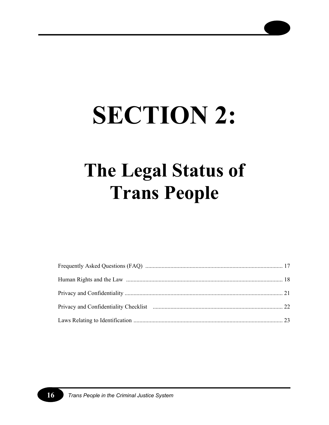# **SECTION 2:**

# **The Legal Status of Trans People**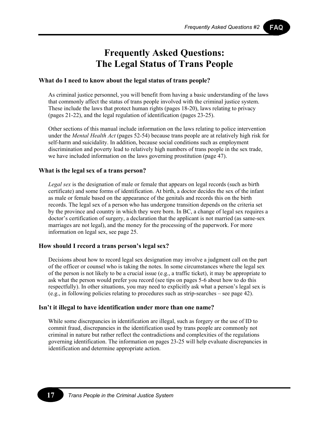FAQ

## **Frequently Asked Questions: The Legal Status of Trans People**

### **What do I need to know about the legal status of trans people?**

As criminal justice personnel, you will benefit from having a basic understanding of the laws that commonly affect the status of trans people involved with the criminal justice system. These include the laws that protect human rights (pages 18-20), laws relating to privacy (pages 21-22), and the legal regulation of identification (pages 23-25).

Other sections of this manual include information on the laws relating to police intervention under the *Mental Health Act* (pages 52-54) because trans people are at relatively high risk for self-harm and suicidality. In addition, because social conditions such as employment discrimination and poverty lead to relatively high numbers of trans people in the sex trade, we have included information on the laws governing prostitution (page 47).

### **What is the legal sex of a trans person?**

*Legal sex* is the designation of male or female that appears on legal records (such as birth certificate) and some forms of identification. At birth, a doctor decides the sex of the infant as male or female based on the appearance of the genitals and records this on the birth records. The legal sex of a person who has undergone transition depends on the criteria set by the province and country in which they were born. In BC, a change of legal sex requires a doctor's certification of surgery, a declaration that the applicant is not married (as same-sex marriages are not legal), and the money for the processing of the paperwork. For more information on legal sex, see page 25.

#### **How should I record a trans person's legal sex?**

Decisions about how to record legal sex designation may involve a judgment call on the part of the officer or counsel who is taking the notes. In some circumstances where the legal sex of the person is not likely to be a crucial issue (e.g., a traffic ticket), it may be appropriate to ask what the person would prefer you record (see tips on pages 5-6 about how to do this respectfully). In other situations, you may need to explicitly ask what a person's legal sex is (e.g., in following policies relating to procedures such as strip-searches – see page 42).

#### **Isn't it illegal to have identification under more than one name?**

While some discrepancies in identification are illegal, such as forgery or the use of ID to commit fraud, discrepancies in the identification used by trans people are commonly not criminal in nature but rather reflect the contradictions and complexities of the regulations governing identification. The information on pages 23-25 will help evaluate discrepancies in identification and determine appropriate action.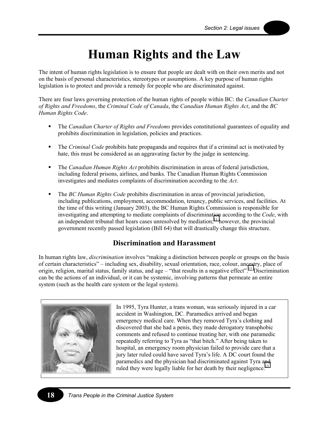# **Human Rights and the Law**

The intent of human rights legislation is to ensure that people are dealt with on their own merits and not on the basis of personal characteristics, stereotypes or assumptions. A key purpose of human rights legislation is to protect and provide a remedy for people who are discriminated against.

There are four laws governing protection of the human rights of people within BC: the *Canadian Charter of Rights and Freedoms*, the *Criminal Code of Canada*, the *Canadian Human Rights Act*, and the *BC Human Rights Code*.

- The *Canadian Charter of Rights and Freedoms* provides constitutional guarantees of equality and prohibits discrimination in legislation, policies and practices.
- The *Criminal Code* prohibits hate propaganda and requires that if a criminal act is motivated by hate, this must be considered as an aggravating factor by the judge in sentencing.
- The *Canadian Human Rights Act* prohibits discrimination in areas of federal jurisdiction, including federal prisons, airlines, and banks. The Canadian Human Rights Commission investigates and mediates complaints of discrimination according to the *Act*.
- The *BC Human Rights Code* prohibits discrimination in areas of provincial jurisdiction, including publications, employment, accommodation, tenancy, public services, and facilities. At the time of this writing (January 2003), the BC Human Rights Commission is responsible for investigating and attempting to mediate complaints of discrimination according to the *Code*, with an independent tribunal that hears cases unresolved by mediation;<sup>11</sup> however, the provincial government recently passed legislation (Bill 64) that will drastically change this structure.

## **Discrimination and Harassment**

In human rights law, *discrimination* involves "making a distinction between people or groups on the basis of certain characteristics" – including sex, disability, sexual orientation, race, colour, ancestry, place of origin, religion, marital status, family status, and age – "that results in a negative effect".<sup>12</sup> Discrimination can be the actions of an individual, or it can be systemic, involving patterns that permeate an entire system (such as the health care system or the legal system).



In 1995, Tyra Hunter, a trans woman, was seriously injured in a car accident in Washington, DC. Paramedics arrived and began emergency medical care. When they removed Tyra's clothing and discovered that she had a penis, they made derogatory transphobic comments and refused to continue treating her, with one paramedic repeatedly referring to Tyra as "that bitch." After being taken to hospital, an emergency room physician failed to provide care that a jury later ruled could have saved Tyra's life. A DC court found the paramedics and the physician had discriminated against Tyra and ruled they were legally liable for her death by their negligence.<sup>13</sup>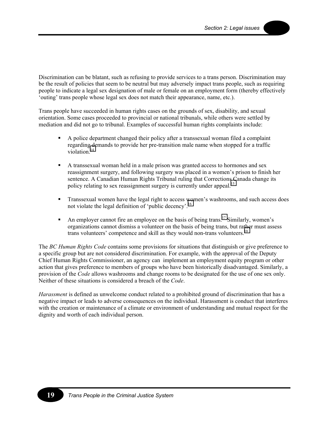Discrimination can be blatant, such as refusing to provide services to a trans person. Discrimination may be the result of policies that seem to be neutral but may adversely impact trans people, such as requiring people to indicate a legal sex designation of male or female on an employment form (thereby effectively 'outing' trans people whose legal sex does not match their appearance, name, etc.).

Trans people have succeeded in human rights cases on the grounds of sex, disability, and sexual orientation. Some cases proceeded to provincial or national tribunals, while others were settled by mediation and did not go to tribunal. Examples of successful human rights complaints include:

- A police department changed their policy after a transsexual woman filed a complaint regarding demands to provide her pre-transition male name when stopped for a traffic violation<sup>[14](#page-77-0)</sup>
- A transsexual woman held in a male prison was granted access to hormones and sex reassignment surgery, and following surgery was placed in a women's prison to finish her sentence. A Canadian Human Rights Tribunal ruling that Corrections Canada change its policy relating to sex reassignment surgery is currently under appeal.<sup>[15](#page-77-0)</sup>
- **Transsexual women have the legal right to access women's washrooms, and such access does** not violate the legal definition of 'public decency'.<sup>[16](#page-77-0)</sup>
- An employer cannot fire an employee on the basis of being trans.<sup>17</sup> Similarly, women's organizations cannot dismiss a volunteer on the basis of being trans, but rather must assess trans volunteers' competence and skill as they would non-trans volunteers.<sup>[18](#page-77-0)</sup>

The *BC Human Rights Code* contains some provisions for situations that distinguish or give preference to a specific group but are not considered discrimination. For example, with the approval of the Deputy Chief Human Rights Commissioner, an agency can implement an employment equity program or other action that gives preference to members of groups who have been historically disadvantaged. Similarly, a provision of the *Code* allows washrooms and change rooms to be designated for the use of one sex only. Neither of these situations is considered a breach of the *Code*.

*Harassment* is defined as unwelcome conduct related to a prohibited ground of discrimination that has a negative impact or leads to adverse consequences on the individual. Harassment is conduct that interferes with the creation or maintenance of a climate or environment of understanding and mutual respect for the dignity and worth of each individual person.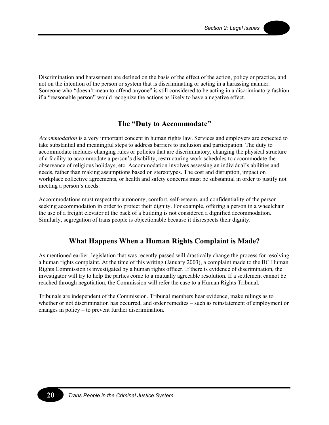Discrimination and harassment are defined on the basis of the effect of the action, policy or practice, and not on the intention of the person or system that is discriminating or acting in a harassing manner. Someone who "doesn't mean to offend anyone" is still considered to be acting in a discriminatory fashion if a "reasonable person" would recognize the actions as likely to have a negative effect.

## **The "Duty to Accommodate"**

*Accommodation* is a very important concept in human rights law. Services and employers are expected to take substantial and meaningful steps to address barriers to inclusion and participation. The duty to accommodate includes changing rules or policies that are discriminatory, changing the physical structure of a facility to accommodate a person's disability, restructuring work schedules to accommodate the observance of religious holidays, etc. Accommodation involves assessing an individual's abilities and needs, rather than making assumptions based on stereotypes. The cost and disruption, impact on workplace collective agreements, or health and safety concerns must be substantial in order to justify not meeting a person's needs.

Accommodations must respect the autonomy, comfort, self-esteem, and confidentiality of the person seeking accommodation in order to protect their dignity. For example, offering a person in a wheelchair the use of a freight elevator at the back of a building is not considered a dignified accommodation. Similarly, segregation of trans people is objectionable because it disrespects their dignity.

## **What Happens When a Human Rights Complaint is Made?**

As mentioned earlier, legislation that was recently passed will drastically change the process for resolving a human rights complaint. At the time of this writing (January 2003), a complaint made to the BC Human Rights Commission is investigated by a human rights officer. If there is evidence of discrimination, the investigator will try to help the parties come to a mutually agreeable resolution. If a settlement cannot be reached through negotiation, the Commission will refer the case to a Human Rights Tribunal.

Tribunals are independent of the Commission. Tribunal members hear evidence, make rulings as to whether or not discrimination has occurred, and order remedies – such as reinstatement of employment or changes in policy – to prevent further discrimination.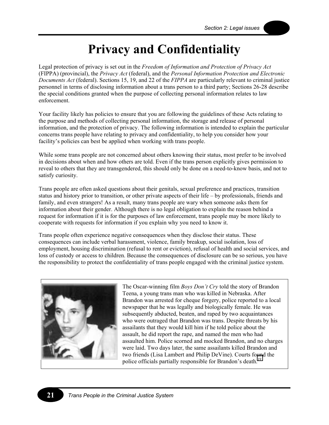# **Privacy and Confidentiality**

Legal protection of privacy is set out in the *Freedom of Information and Protection of Privacy Act* (FIPPA) (provincial), the *Privacy Act* (federal), and the *Personal Information Protection and Electronic Documents Act* (federal). Sections 15, 19, and 22 of the *FIPPA* are particularly relevant to criminal justice personnel in terms of disclosing information about a trans person to a third party; Sections 26-28 describe the special conditions granted when the purpose of collecting personal information relates to law enforcement.

Your facility likely has policies to ensure that you are following the guidelines of these Acts relating to the purpose and methods of collecting personal information, the storage and release of personal information, and the protection of privacy. The following information is intended to explain the particular concerns trans people have relating to privacy and confidentiality, to help you consider how your facility's policies can best be applied when working with trans people.

While some trans people are not concerned about others knowing their status, most prefer to be involved in decisions about when and how others are told. Even if the trans person explicitly gives permission to reveal to others that they are transgendered, this should only be done on a need-to-know basis, and not to satisfy curiosity.

Trans people are often asked questions about their genitals, sexual preference and practices, transition status and history prior to transition, or other private aspects of their life – by professionals, friends and family, and even strangers! As a result, many trans people are wary when someone asks them for information about their gender. Although there is no legal obligation to explain the reason behind a request for information if it is for the purposes of law enforcement, trans people may be more likely to cooperate with requests for information if you explain why you need to know it.

Trans people often experience negative consequences when they disclose their status. These consequences can include verbal harassment, violence, family breakup, social isolation, loss of employment, housing discrimination (refusal to rent or eviction), refusal of health and social services, and loss of custody or access to children. Because the consequences of disclosure can be so serious, you have the responsibility to protect the confidentiality of trans people engaged with the criminal justice system.



The Oscar-winning film *Boys Don't Cry* told the story of Brandon Teena, a young trans man who was killed in Nebraska. After Brandon was arrested for cheque forgery, police reported to a local newspaper that he was legally and biologically female. He was subsequently abducted, beaten, and raped by two acquaintances who were outraged that Brandon was trans. Despite threats by his assailants that they would kill him if he told police about the assault, he did report the rape, and named the men who had assaulted him. Police scorned and mocked Brandon, and no charges were laid. Two days later, the same assailants killed Brandon and two friends (Lisa Lambert and Philip DeVine). Courts fo[un](#page-77-0)d the police officials partially responsible for Brandon's death.<sup>19</sup>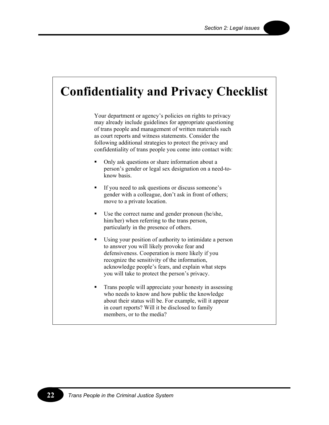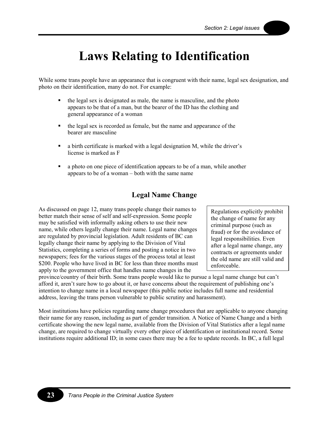# **Laws Relating to Identification**

While some trans people have an appearance that is congruent with their name, legal sex designation, and photo on their identification, many do not. For example:

- the legal sex is designated as male, the name is masculine, and the photo appears to be that of a man, but the bearer of the ID has the clothing and general appearance of a woman
- the legal sex is recorded as female, but the name and appearance of the bearer are masculine
- a birth certificate is marked with a legal designation M, while the driver's license is marked as F
- a photo on one piece of identification appears to be of a man, while another appears to be of a woman – both with the same name

## **Legal Name Change**

As discussed on page 12, many trans people change their names to better match their sense of self and self-expression. Some people may be satisfied with informally asking others to use their new name, while others legally change their name. Legal name changes are regulated by provincial legislation. Adult residents of BC can legally change their name by applying to the Division of Vital Statistics, completing a series of forms and posting a notice in two newspapers; fees for the various stages of the process total at least \$200. People who have lived in BC for less than three months must apply to the government office that handles name changes in the

Regulations explicitly prohibit the change of name for any criminal purpose (such as fraud) or for the avoidance of legal responsibilities. Even after a legal name change, any contracts or agreements under the old name are still valid and enforceable.

province/country of their birth. Some trans people would like to pursue a legal name change but can't afford it, aren't sure how to go about it, or have concerns about the requirement of publishing one's intention to change name in a local newspaper (this public notice includes full name and residential address, leaving the trans person vulnerable to public scrutiny and harassment).

Most institutions have policies regarding name change procedures that are applicable to anyone changing their name for any reason, including as part of gender transition. A Notice of Name Change and a birth certificate showing the new legal name, available from the Division of Vital Statistics after a legal name change, are required to change virtually every other piece of identification or institutional record. Some institutions require additional ID; in some cases there may be a fee to update records. In BC, a full legal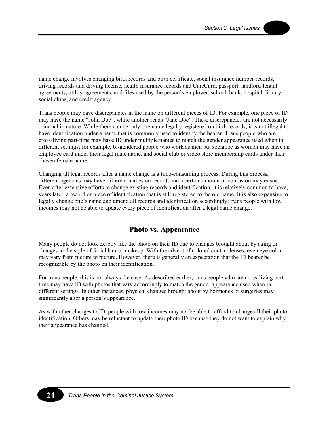name change involves changing birth records and birth certificate, social insurance number records, driving records and driving license, health insurance records and CareCard, passport, landlord-tenant agreements, utility agreements, and files used by the person's employer, school, bank, hospital, library, social clubs, and credit agency.

Trans people may have discrepancies in the name on different pieces of ID. For example, one piece of ID may have the name "John Doe", while another reads "Jane Doe". These discrepancies are not necessarily criminal in nature. While there can be only one name legally registered on birth records, it is not illegal to have identification under a name that is commonly used to identify the bearer. Trans people who are cross-living part-time may have ID under multiple names to match the gender appearance used when in different settings; for example, bi-gendered people who work as men but socialize as women may have an employee card under their legal male name, and social club or video store membership cards under their chosen female name.

Changing all legal records after a name change is a time-consuming process. During this process, different agencies may have different names on record, and a certain amount of confusion may ensue. Even after extensive efforts to change existing records and identification, it is relatively common to have, years later, a record or piece of identification that is still registered to the old name. It is also expensive to legally change one's name and amend all records and identification accordingly; trans people with low incomes may not be able to update every piece of identification after a legal name change.

## **Photo vs. Appearance**

Many people do not look exactly like the photo on their ID due to changes brought about by aging or changes in the style of facial hair or makeup. With the advent of colored contact lenses, even eye color may vary from picture to picture. However, there is generally an expectation that the ID bearer be recognizable by the photo on their identification.

For trans people, this is not always the case. As described earlier, trans people who are cross-living parttime may have ID with photos that vary accordingly to match the gender appearance used when in different settings. In other instances, physical changes brought about by hormones or surgeries may significantly alter a person's appearance.

As with other changes to ID, people with low incomes may not be able to afford to change all their photo identification. Others may be reluctant to update their photo ID because they do not want to explain why their appearance has changed.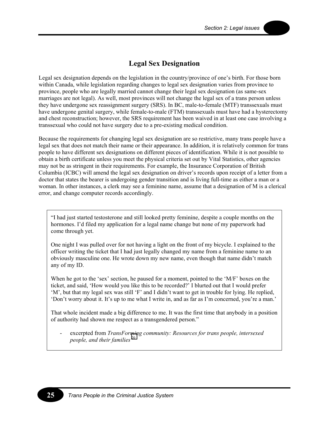## **Legal Sex Designation**

Legal sex designation depends on the legislation in the country/province of one's birth. For those born within Canada, while legislation regarding changes to legal sex designation varies from province to province, people who are legally married cannot change their legal sex designation (as same-sex marriages are not legal). As well, most provinces will not change the legal sex of a trans person unless they have undergone sex reassignment surgery (SRS). In BC, male-to-female (MTF) transsexuals must have undergone genital surgery, while female-to-male (FTM) transsexuals must have had a hysterectomy and chest reconstruction; however, the SRS requirement has been waived in at least one case involving a transsexual who could not have surgery due to a pre-existing medical condition.

Because the requirements for changing legal sex designation are so restrictive, many trans people have a legal sex that does not match their name or their appearance. In addition, it is relatively common for trans people to have different sex designations on different pieces of identification. While it is not possible to obtain a birth certificate unless you meet the physical criteria set out by Vital Statistics, other agencies may not be as stringent in their requirements. For example, the Insurance Corporation of British Columbia (ICBC) will amend the legal sex designation on driver's records upon receipt of a letter from a doctor that states the bearer is undergoing gender transition and is living full-time as either a man or a woman. In other instances, a clerk may see a feminine name, assume that a designation of M is a clerical error, and change computer records accordingly.

"I had just started testosterone and still looked pretty feminine, despite a couple months on the hormones. I'd filed my application for a legal name change but none of my paperwork had come through yet.

One night I was pulled over for not having a light on the front of my bicycle. I explained to the officer writing the ticket that I had just legally changed my name from a feminine name to an obviously masculine one. He wrote down my new name, even though that name didn't match any of my ID.

When he got to the 'sex' section, he paused for a moment, pointed to the 'M/F' boxes on the ticket, and said, 'How would you like this to be recorded?' I blurted out that I would prefer 'M', but that my legal sex was still 'F' and I didn't want to get in trouble for lying. He replied, 'Don't worry about it. It's up to me what I write in, and as far as I'm concerned, you're a man.'

That whole incident made a big difference to me. It was the first time that anybody in a position of authority had shown me respect as a transgendered person."

- excerpted from *TransFor[min](#page-77-0)g community: Resources for trans people, intersexed people, and their families*<sup>20</sup>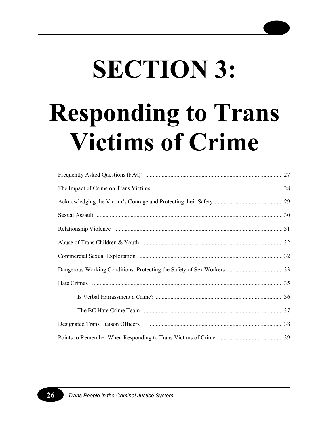# **SECTION 3: Responding to Trans Victims of Crime**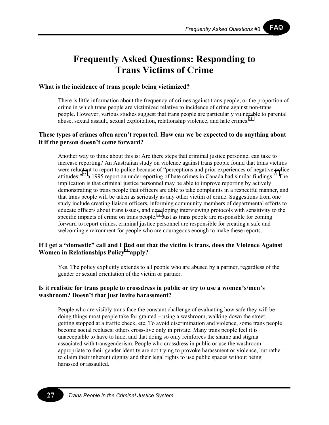## **Frequently Asked Questions: Responding to Trans Victims of Crime**

## **What is the incidence of trans people being victimized?**

There is little information about the frequency of crimes against trans people, or the proportion of crime in which trans people are victimized relative to incidence of crime against non-trans people. However, various studies suggest that trans people are particularly vulnerable to parental abuse, sexual assault, sexual exploitation, relationship violence, and hate crimes. $^{21}$  $^{21}$  $^{21}$ 

## **These types of crimes often aren't reported. How can we be expected to do anything about it if the person doesn't come forward?**

Another way to think about this is: Are there steps that criminal justice personnel can take to increase reporting? An Australian study on violence against trans people found that trans victims were reluctant to report to police because of "perceptions and prior experiences of negative police attitudes; $^{22}$  a 1995 report on underreporting of hate crimes in Canada had similar findings.<sup>23</sup> The implication is that criminal justice personnel may be able to improve reporting by actively demonstrating to trans people that officers are able to take complaints in a respectful manner, and that trans people will be taken as seriously as any other victim of crime. Suggestions from one study include creating liaison officers, informing community members of departmental efforts to educate officers about trans issues, and developing interviewing protocols with sensitivity to the specific impacts of crime on trans people.<sup>24</sup> Just as trans people are responsible for coming forward to report crimes, criminal justice personnel are responsible for creating a safe and welcoming environment for people who are courageous enough to make these reports.

## **If I get a "domestic" call and I [fin](#page-77-0)d out that the victim is trans, does the Violence Against Women in Relationships Policy**<sup>25</sup> **apply?**

Yes. The policy explicitly extends to all people who are abused by a partner, regardless of the gender or sexual orientation of the victim or partner.

## **Is it realistic for trans people to crossdress in public or try to use a women's/men's washroom? Doesn't that just invite harassment?**

People who are visibly trans face the constant challenge of evaluating how safe they will be doing things most people take for granted – using a washroom, walking down the street, getting stopped at a traffic check, etc. To avoid discrimination and violence, some trans people become social recluses; others cross-live only in private. Many trans people feel it is unacceptable to have to hide, and that doing so only reinforces the shame and stigma associated with transgenderism. People who crossdress in public or use the washroom appropriate to their gender identity are not trying to provoke harassment or violence, but rather to claim their inherent dignity and their legal rights to use public spaces without being harassed or assaulted.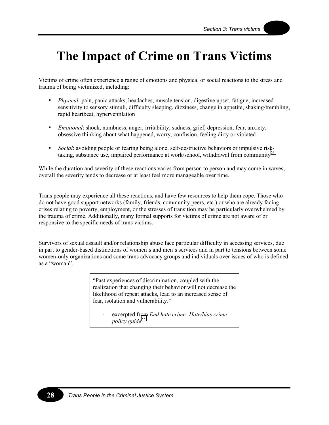# **The Impact of Crime on Trans Victims**

Victims of crime often experience a range of emotions and physical or social reactions to the stress and trauma of being victimized, including:

- *Physical*: pain, panic attacks, headaches, muscle tension, digestive upset, fatigue, increased sensitivity to sensory stimuli, difficulty sleeping, dizziness, change in appetite, shaking/trembling, rapid heartbeat, hyperventilation
- *Emotional*: shock, numbness, anger, irritability, sadness, grief, depression, fear, anxiety, obsessive thinking about what happened, worry, confusion, feeling dirty or violated
- *Social*: avoiding people or fearing being alone, self-destructive behaviors or impulsive risk-taking, substance use, impaired performance at work/school, withdrawal from community<sup>[26](#page-77-0)</sup>

While the duration and severity of these reactions varies from person to person and may come in waves, overall the severity tends to decrease or at least feel more manageable over time.

Trans people may experience all these reactions, and have few resources to help them cope. Those who do not have good support networks (family, friends, community peers, etc.) or who are already facing crises relating to poverty, employment, or the stresses of transition may be particularly overwhelmed by the trauma of crime. Additionally, many formal supports for victims of crime are not aware of or responsive to the specific needs of trans victims.

Survivors of sexual assault and/or relationship abuse face particular difficulty in accessing services, due in part to gender-based distinctions of women's and men's services and in part to tensions between some women-only organizations and some trans advocacy groups and individuals over issues of who is defined as a "woman".

> "Past experiences of discrimination, coupled with the realization that changing their behavior will not decrease the likelihood of repeat attacks, lead to an increased sense of fear, isolation and vulnerability."

excerpted from *End hate crime: Hate/bias crime policy guide*<sup>[27](#page-77-0)</sup>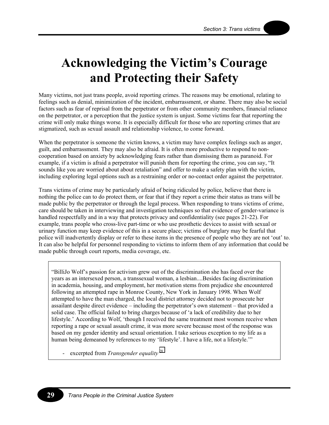# **Acknowledging the Victim's Courage and Protecting their Safety**

Many victims, not just trans people, avoid reporting crimes. The reasons may be emotional, relating to feelings such as denial, minimization of the incident, embarrassment, or shame. There may also be social factors such as fear of reprisal from the perpetrator or from other community members, financial reliance on the perpetrator, or a perception that the justice system is unjust. Some victims fear that reporting the crime will only make things worse. It is especially difficult for those who are reporting crimes that are stigmatized, such as sexual assault and relationship violence, to come forward.

When the perpetrator is someone the victim knows, a victim may have complex feelings such as anger, guilt, and embarrassment. They may also be afraid. It is often more productive to respond to noncooperation based on anxiety by acknowledging fears rather than dismissing them as paranoid. For example, if a victim is afraid a perpetrator will punish them for reporting the crime, you can say, "It sounds like you are worried about about retaliation" and offer to make a safety plan with the victim, including exploring legal options such as a restraining order or no-contact order against the perpetrator.

Trans victims of crime may be particularly afraid of being ridiculed by police, believe that there is nothing the police can to do protect them, or fear that if they report a crime their status as trans will be made public by the perpetrator or through the legal process. When responding to trans victims of crime, care should be taken in interviewing and investigation techniques so that evidence of gender-variance is handled respectfully and in a way that protects privacy and confidentiality (see pages 21-22). For example, trans people who cross-live part-time or who use prosthetic devices to assist with sexual or urinary function may keep evidence of this in a secure place; victims of burglary may be fearful that police will inadvertently display or refer to these items in the presence of people who they are not 'out' to. It can also be helpful for personnel responding to victims to inform them of any information that could be made public through court reports, media coverage, etc.

"BilliJo Wolf's passion for activism grew out of the discrimination she has faced over the years as an intersexed person, a transsexual woman, a lesbian....Besides facing discrimination in academia, housing, and employment, her motivation stems from prejudice she encountered following an attempted rape in Monroe County, New York in January 1998. When Wolf attempted to have the man charged, the local district attorney decided not to prosecute her assailant despite direct evidence – including the perpetrator's own statement – that provided a solid case. The official failed to bring charges because of 'a lack of credibility due to her lifestyle.' According to Wolf, 'though I received the same treatment most women receive when reporting a rape or sexual assault crime, it was more severe because most of the response was based on my gender identity and sexual orientation. I take serious exception to my life as a human being demeaned by references to my 'lifestyle'. I have a life, not a lifestyle.'"

- excerpted from *Transgender equality* [28](#page-77-0)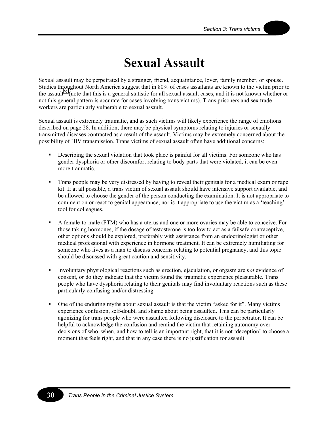# **Sexual Assault**

Sexual assault may be perpetrated by a stranger, friend, acquaintance, lover, family member, or spouse. Studies throughout North America suggest that in 80% of cases assailants are known to the victim prior to the assault<sup>29</sup> (note that this is a general statistic for all sexual assault cases, and it is not known whether or not this general pattern is accurate for cases involving trans victims). Trans prisoners and sex trade workers are particularly vulnerable to sexual assault.

Sexual assault is extremely traumatic, and as such victims will likely experience the range of emotions described on page 28. In addition, there may be physical symptoms relating to injuries or sexually transmitted diseases contracted as a result of the assault. Victims may be extremely concerned about the possibility of HIV transmission. Trans victims of sexual assault often have additional concerns:

- Describing the sexual violation that took place is painful for all victims. For someone who has gender dysphoria or other discomfort relating to body parts that were violated, it can be even more traumatic.
- Trans people may be very distressed by having to reveal their genitals for a medical exam or rape kit. If at all possible, a trans victim of sexual assault should have intensive support available, and be allowed to choose the gender of the person conducting the examination. It is not appropriate to comment on or react to genital appearance, nor is it appropriate to use the victim as a 'teaching' tool for colleagues.
- A female-to-male (FTM) who has a uterus and one or more ovaries may be able to conceive. For those taking hormones, if the dosage of testosterone is too low to act as a failsafe contraceptive, other options should be explored, preferably with assistance from an endocrinologist or other medical professional with experience in hormone treatment. It can be extremely humiliating for someone who lives as a man to discuss concerns relating to potential pregnancy, and this topic should be discussed with great caution and sensitivity.
- Involuntary physiological reactions such as erection, ejaculation, or orgasm are *not* evidence of consent, or do they indicate that the victim found the traumatic experience pleasurable. Trans people who have dysphoria relating to their genitals may find involuntary reactions such as these particularly confusing and/or distressing.
- One of the enduring myths about sexual assault is that the victim "asked for it". Many victims experience confusion, self-doubt, and shame about being assaulted. This can be particularly agonizing for trans people who were assaulted following disclosure to the perpetrator. It can be helpful to acknowledge the confusion and remind the victim that retaining autonomy over decisions of who, when, and how to tell is an important right, that it is not 'deception' to choose a moment that feels right, and that in any case there is no justification for assault.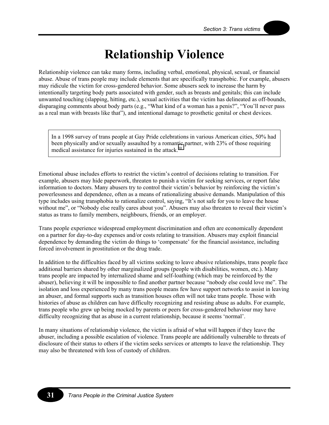# **Relationship Violence**

Relationship violence can take many forms, including verbal, emotional, physical, sexual, or financial abuse. Abuse of trans people may include elements that are specifically transphobic. For example, abusers may ridicule the victim for cross-gendered behavior. Some abusers seek to increase the harm by intentionally targeting body parts associated with gender, such as breasts and genitals; this can include unwanted touching (slapping, hitting, etc.), sexual activities that the victim has delineated as off-bounds, disparaging comments about body parts (e.g., "What kind of a woman has a penis?", "You'll never pass as a real man with breasts like that"), and intentional damage to prosthetic genital or chest devices.

In a 1998 survey of trans people at Gay Pride celebrations in various American cities, 50% had been physically and/or sexually assaulted by a romantic partner, with 23% of those requiring medical assistance for injuries sustained in the attack. $30$ 

Emotional abuse includes efforts to restrict the victim's control of decisions relating to transition. For example, abusers may hide paperwork, threaten to punish a victim for seeking services, or report false information to doctors. Many abusers try to control their victim's behavior by reinforcing the victim's powerlessness and dependence, often as a means of rationalizing abusive demands. Manipulation of this type includes using transphobia to rationalize control, saying, "It's not safe for you to leave the house without me", or "Nobody else really cares about you". Abusers may also threaten to reveal their victim's status as trans to family members, neighbours, friends, or an employer.

Trans people experience widespread employment discrimination and often are economically dependent on a partner for day-to-day expenses and/or costs relating to transition. Abusers may exploit financial dependence by demanding the victim do things to 'compensate' for the financial assistance, including forced involvement in prostitution or the drug trade.

In addition to the difficulties faced by all victims seeking to leave abusive relationships, trans people face additional barriers shared by other marginalized groups (people with disabilities, women, etc.). Many trans people are impacted by internalized shame and self-loathing (which may be reinforced by the abuser), believing it will be impossible to find another partner because "nobody else could love me". The isolation and loss experienced by many trans people means few have support networks to assist in leaving an abuser, and formal supports such as transition houses often will not take trans people. Those with histories of abuse as children can have difficulty recognizing and resisting abuse as adults. For example, trans people who grew up being mocked by parents or peers for cross-gendered behaviour may have difficulty recognizing that as abuse in a current relationship, because it seems 'normal'.

In many situations of relationship violence, the victim is afraid of what will happen if they leave the abuser, including a possible escalation of violence. Trans people are additionally vulnerable to threats of disclosure of their status to others if the victim seeks services or attempts to leave the relationship. They may also be threatened with loss of custody of children.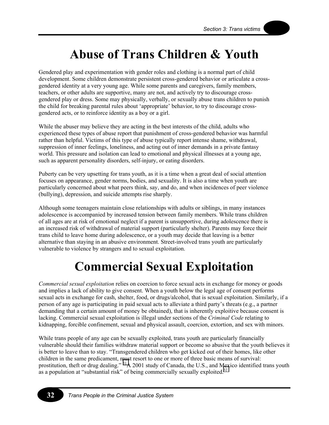### **Abuse of Trans Children & Youth**

Gendered play and experimentation with gender roles and clothing is a normal part of child development. Some children demonstrate persistent cross-gendered behavior or articulate a crossgendered identity at a very young age. While some parents and caregivers, family members, teachers, or other adults are supportive, many are not, and actively try to discourage crossgendered play or dress. Some may physically, verbally, or sexually abuse trans children to punish the child for breaking parental rules about 'appropriate' behavior, to try to discourage crossgendered acts, or to reinforce identity as a boy or a girl.

While the abuser may believe they are acting in the best interests of the child, adults who experienced these types of abuse report that punishment of cross-gendered behavior was harmful rather than helpful. Victims of this type of abuse typically report intense shame, withdrawal, suppression of inner feelings, loneliness, and acting out of inner demands in a private fantasy world. This pressure and isolation can lead to emotional and physical illnesses at a young age, such as apparent personality disorders, self-injury, or eating disorders.

Puberty can be very upsetting for trans youth, as it is a time when a great deal of social attention focuses on appearance, gender norms, bodies, and sexuality. It is also a time when youth are particularly concerned about what peers think, say, and do, and when incidences of peer violence (bullying), depression, and suicide attempts rise sharply.

Although some teenagers maintain close relationships with adults or siblings, in many instances adolescence is accompanied by increased tension between family members. While trans children of all ages are at risk of emotional neglect if a parent is unsupportive, during adolescence there is an increased risk of withdrawal of material support (particularly shelter). Parents may force their trans child to leave home during adolescence, or a youth may decide that leaving is a better alternative than staying in an abusive environment. Street-involved trans youth are particularly vulnerable to violence by strangers and to sexual exploitation.

### **Commercial Sexual Exploitation**

*Commercial sexual exploitation* relies on coercion to force sexual acts in exchange for money or goods and implies a lack of ability to give consent. When a youth below the legal age of consent performs sexual acts in exchange for cash, shelter, food, or drugs/alcohol, that is sexual exploitation. Similarly, if a person of any age is participating in paid sexual acts to alleviate a third party's threats (e.g., a partner demanding that a certain amount of money be obtained), that is inherently exploitive because consent is lacking. Commercial sexual exploitation is illegal under sections of the *Criminal Code* relating to kidnapping, forcible confinement, sexual and physical assault, coercion, extortion, and sex with minors.

While trans people of any age can be sexually exploited, trans youth are particularly financially vulnerable should their families withdraw material support or become so abusive that the youth believes it is better to leave than to stay. "Transgendered children who get kicked out of their homes, like other children in the same predicament, must resort to one or more of three basic means of survival: prostitution, theft or drug dealing." <sup>31</sup>A 2001 study of Canada, the U.S., and Mexico identified trans youth as a population at "substantial risk" of being commercially sexually exploited. $32$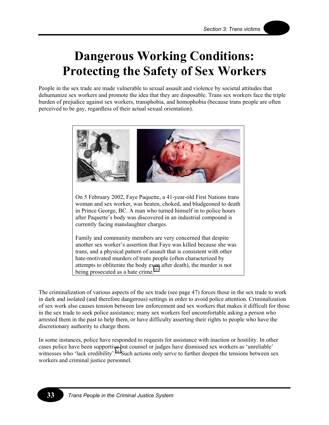## **Dangerous Working Conditions: Protecting the Safety of Sex Workers**

People in the sex trade are made vulnerable to sexual assault and violence by societal attitudes that dehumanize sex workers and promote the idea that they are disposable. Trans sex workers face the triple burden of prejudice against sex workers, transphobia, and homophobia (because trans people are often perceived to be gay, regardless of their actual sexual orientation).



On 5 February 2002, Faye Paquette, a 41-year-old First Nations trans woman and sex worker, was beaten, choked, and bludgeoned to death in Prince George, BC. A man who turned himself in to police hours after Paquette's body was discovered in an industrial compound is currently facing manslaughter charges.

Family and community members are very concerned that despite another sex worker's assertion that Faye was killed because she was trans, and a physical pattern of assault that is consistent with other hate-motivated murders of trans people (often characterized by attempts to obliterate the body even after death), the murder is not being prosecuted as a hate crime.<sup>[33](#page-77-0)</sup>

The criminalization of various aspects of the sex trade (see page 47) forces those in the sex trade to work in dark and isolated (and therefore dangerous) settings in order to avoid police attention. Criminalization of sex work also causes tension between law enforcement and sex workers that makes it difficult for those in the sex trade to seek police assistance; many sex workers feel uncomfortable asking a person who arrested them in the past to help them, or have difficulty asserting their rights to people who have the discretionary authority to charge them.

In some instances, police have responded to requests for assistance with inaction or hostility. In other cases police have been supportive but counsel or judges have dismissed sex workers as 'unreliable' witnesses who 'lack credibility'.<sup>34</sup> Such actions only serve to further deepen the tensions between sex workers and criminal justice personnel.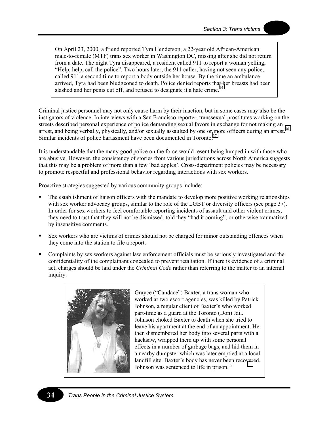On April 23, 2000, a friend reported Tyra Henderson, a 22-year old African-American male-to-female (MTF) trans sex worker in Washington DC, missing after she did not return from a date. The night Tyra disappeared, a resident called 911 to report a woman yelling, "Help, help, call the police". Two hours later, the 911 caller, having not seen any police, called 911 a second time to report a body outside her house. By the time an ambulance arrived, Tyra had been bludgeoned to death. Police denied reports th[at h](#page-77-0)er breasts had been slashed and her penis cut off, and refused to designate it a hate crime.<sup>35</sup>

Criminal justice personnel may not only cause harm by their inaction, but in some cases may also be the instigators of violence. In interviews with a San Francisco reporter, transsexual prostitutes working on the streets described personal experience of police demanding sexual favors in exchange for not making an arrest, and being verbally, physically, and/or sexually assaulted by one or more officers during an arrest.<sup>[36](#page-77-0)</sup> Similar incidents of police harassment have been documented in Toronto. $37$ 

It is understandable that the many good police on the force would resent being lumped in with those who are abusive. However, the consistency of stories from various jurisdictions across North America suggests that this may be a problem of more than a few 'bad apples'. Cross-department policies may be necessary to promote respectful and professional behavior regarding interactions with sex workers.

Proactive strategies suggested by various community groups include:

- The establishment of liaison officers with the mandate to develop more positive working relationships with sex worker advocacy groups, similar to the role of the LGBT or diversity officers (see page 37). In order for sex workers to feel comfortable reporting incidents of assault and other violent crimes, they need to trust that they will not be dismissed, told they "had it coming", or otherwise traumatized by insensitive comments.
- Sex workers who are victims of crimes should not be charged for minor outstanding offences when they come into the station to file a report.
- Complaints by sex workers against law enforcement officials must be seriously investigated and the confidentiality of the complainant concealed to prevent retaliation. If there is evidence of a criminal act, charges should be laid under the *Criminal Code* rather than referring to the matter to an internal inquiry.



Grayce ("Candace") Baxter, a trans woman who worked at two escort agencies, was killed by Patrick Johnson, a regular client of Baxter's who worked part-time as a guard at the Toronto (Don) Jail. Johnson choked Baxter to death when she tried to leave his apartment at the end of an appointment. He then dismembered her body into several parts with a hacksaw, wrapped them up with some personal effects in a number of garbage bags, and hid them in a nearby dumpster which was later emptied at a local landfill site. Baxter's body has never been reco[ver](#page-77-0)ed. Johnson was sentenced to life in prison.<sup>38</sup>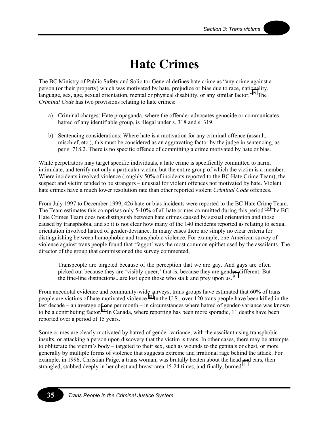### **Hate Crimes**

The BC Ministry of Public Safety and Solicitor General defines hate crime as "any crime against a person (or their property) which was motivated by hate, prejudice or bias due to race, nationality, language, sex, age, sexual orientation, mental or physical disability, or any similar factor."<sup>39</sup> The *Criminal Code* has two provisions relating to hate crimes:

- a) Criminal charges: Hate propaganda, where the offender advocates genocide or communicates hatred of any identifiable group, is illegal under s. 318 and s. 319.
- b) Sentencing considerations: Where hate is a motivation for any criminal offence (assault, mischief, etc.), this must be considered as an aggravating factor by the judge in sentencing, as per s. 718.2. There is no specific offence of committing a crime motivated by hate or bias.

While perpetrators may target specific individuals, a hate crime is specifically committed to harm, intimidate, and terrify not only a particular victim, but the entire group of which the victim is a member. Where incidents involved violence (roughly 50% of incidents reported to the BC Hate Crime Team), the suspect and victim tended to be strangers – unusual for violent offences not motivated by hate. Violent hate crimes have a much lower resolution rate than other reported violent *Criminal Code* offences.

From July 1997 to December 1999, 426 hate or bias incidents were reported to the BC Hate Crime Team. The Team estimates this comprises only 5-10% of all hate crimes committed during this period.<sup>40</sup> The BC Hate Crimes Team does not distinguish between hate crimes caused by sexual orientation and those caused by transphobia, and so it is not clear how many of the 140 incidents reported as relating to sexual orientation involved hatred of gender-deviance. In many cases there are simply no clear criteria for distinguishing between homophobic and transphobic violence. For example, one American survey of violence against trans people found that 'faggot' was the most common epithet used by the assailants. The director of the group that commissioned the survey commented,

Transpeople are targeted because of the perception that we are gay. And gays are often picked out because they are 'visibly queer,' that is, because they are gender-different. But the fine-line distinctions...are lost upon those who stalk and prey upon us.  $41$ 

From anecdotal evidence and community-wide surveys, trans groups have estimated that 60% of trans people are victims of hate-motivated violence.<sup>42</sup> In the U.S., over 120 trans people have been killed in the last decade – an average of one per month – in circumstances where hatred of gender-variance was known to be a contributing factor.<sup>43</sup> In Canada, where reporting has been more sporadic, 11 deaths have been reported over a period of 15 years.

Some crimes are clearly motivated by hatred of gender-variance, with the assailant using transphobic insults, or attacking a person upon discovery that the victim is trans. In other cases, there may be attempts to obliterate the victim's body – targeted to their sex, such as wounds to the genitals or chest, or more generally by multiple forms of violence that suggests extreme and irrational rage behind the attack. For example, in 1996, Christian Paige, a trans woman, was brutally beaten about the head and ears, then strangled, stabbed deeply in her chest and breast area 15-24 times, and finally, burned.<sup>44</sup>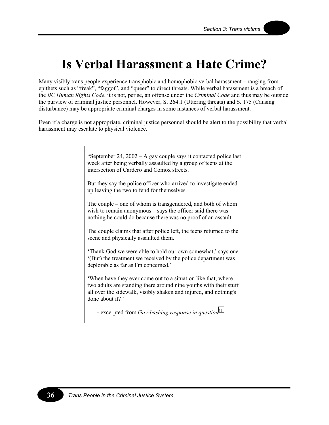## **Is Verbal Harassment a Hate Crime?**

Many visibly trans people experience transphobic and homophobic verbal harassment – ranging from epithets such as "freak", "faggot", and "queer" to direct threats. While verbal harassment is a breach of the *BC Human Rights Code*, it is not, per se, an offense under the *Criminal Code* and thus may be outside the purview of criminal justice personnel. However, S. 264.1 (Uttering threats) and S. 175 (Causing disturbance) may be appropriate criminal charges in some instances of verbal harassment.

Even if a charge is not appropriate, criminal justice personnel should be alert to the possibility that verbal harassment may escalate to physical violence.

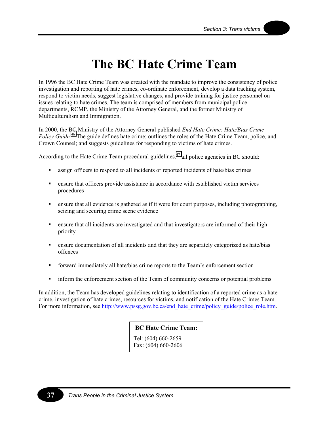## **The BC Hate Crime Team**

In 1996 the BC Hate Crime Team was created with the mandate to improve the consistency of police investigation and reporting of hate crimes, co-ordinate enforcement, develop a data tracking system, respond to victim needs, suggest legislative changes, and provide training for justice personnel on issues relating to hate crimes. The team is comprised of members from municipal police departments, RCMP, the Ministry of the Attorney General, and the former Ministry of Multiculturalism and Immigration.

In 2000, the BC Ministry of the Attorney General published *End Hate Crime: Hate/Bias Crime Policy Guide.*<sup>46</sup> The guide defines hate crime; outlines the roles of the Hate Crime Team, police, and Crown Counsel; and suggests guidelines for responding to victims of hate crimes.

According to the Hate Crime Team procedural guidelines, $47$  all police agencies in BC should:

- assign officers to respond to all incidents or reported incidents of hate/bias crimes
- ensure that officers provide assistance in accordance with established victim services procedures
- ensure that all evidence is gathered as if it were for court purposes, including photographing, seizing and securing crime scene evidence
- ensure that all incidents are investigated and that investigators are informed of their high priority
- ensure documentation of all incidents and that they are separately categorized as hate/bias offences
- forward immediately all hate/bias crime reports to the Team's enforcement section
- inform the enforcement section of the Team of community concerns or potential problems

In addition, the Team has developed guidelines relating to identification of a reported crime as a hate crime, investigation of hate crimes, resources for victims, and notification of the Hate Crimes Team. For more information, see [http://www.pssg.gov.bc.ca/end\\_hate\\_crime/policy\\_guide/police\\_role.htm.](http://www.pssg.gov.bc.ca/end_hate_crime/policy_guide/police_role.htm)

### **BC Hate Crime Team:**

Tel: (604) 660-2659 Fax: (604) 660-2606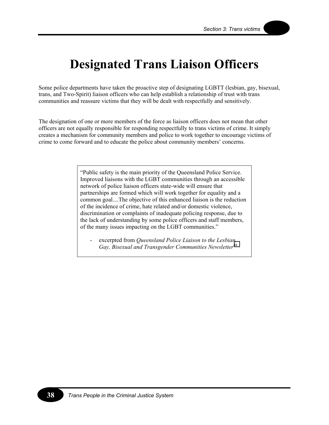## **Designated Trans Liaison Officers**

Some police departments have taken the proactive step of designating LGBTT (lesbian, gay, bisexual, trans, and Two-Spirit) liaison officers who can help establish a relationship of trust with trans communities and reassure victims that they will be dealt with respectfully and sensitively.

The designation of one or more members of the force as liaison officers does not mean that other officers are not equally responsible for responding respectfully to trans victims of crime. It simply creates a mechanism for community members and police to work together to encourage victims of crime to come forward and to educate the police about community members' concerns.

> "Public safety is the main priority of the Queensland Police Service. Improved liaisons with the LGBT communities through an accessible network of police liaison officers state-wide will ensure that partnerships are formed which will work together for equality and a common goal....The objective of this enhanced liaison is the reduction of the incidence of crime, hate related and/or domestic violence, discrimination or complaints of inadequate policing response, due to the lack of understanding by some police officers and staff members, of the many issues impacting on the LGBT communities."

excerpted from *Queensland Police Liaison to the Lesbian*, *Gay, Bisexual and Transgender Communities Newsletter*[48](#page-77-0)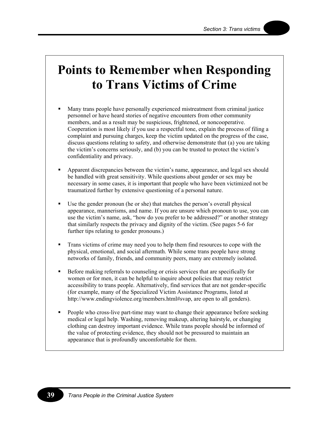### **Points to Remember when Responding to Trans Victims of Crime**

- Many trans people have personally experienced mistreatment from criminal justice personnel or have heard stories of negative encounters from other community members, and as a result may be suspicious, frightened, or noncooperative. Cooperation is most likely if you use a respectful tone, explain the process of filing a complaint and pursuing charges, keep the victim updated on the progress of the case, discuss questions relating to safety, and otherwise demonstrate that (a) you are taking the victim's concerns seriously, and (b) you can be trusted to protect the victim's confidentiality and privacy.
- **Apparent discrepancies between the victim's name, appearance, and legal sex should** be handled with great sensitivity. While questions about gender or sex may be necessary in some cases, it is important that people who have been victimized not be traumatized further by extensive questioning of a personal nature.
- Use the gender pronoun (he or she) that matches the person's overall physical appearance, mannerisms, and name. If you are unsure which pronoun to use, you can use the victim's name, ask, "how do you prefer to be addressed?" or another strategy that similarly respects the privacy and dignity of the victim. (See pages 5-6 for further tips relating to gender pronouns.)
- Trans victims of crime may need you to help them find resources to cope with the physical, emotional, and social aftermath. While some trans people have strong networks of family, friends, and community peers, many are extremely isolated.
- Before making referrals to counseling or crisis services that are specifically for women or for men, it can be helpful to inquire about policies that may restrict accessibility to trans people. Alternatively, find services that are not gender-specific (for example, many of the Specialized Victim Assistance Programs, listed at http://www.endingviolence.org/members.html#svap, are open to all genders).
- **People who cross-live part-time may want to change their appearance before seeking** medical or legal help. Washing, removing makeup, altering hairstyle, or changing clothing can destroy important evidence. While trans people should be informed of the value of protecting evidence, they should not be pressured to maintain an appearance that is profoundly uncomfortable for them.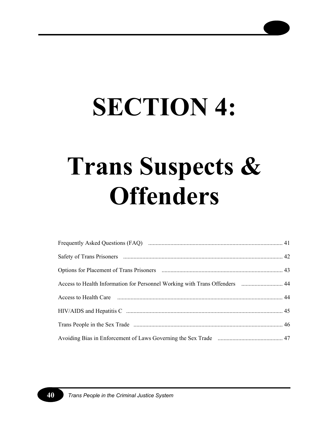# **SECTION 4:**

# **Trans Suspects & Offenders**

| Access to Health Information for Personnel Working with Trans Offenders  44 |  |
|-----------------------------------------------------------------------------|--|
|                                                                             |  |
|                                                                             |  |
|                                                                             |  |
|                                                                             |  |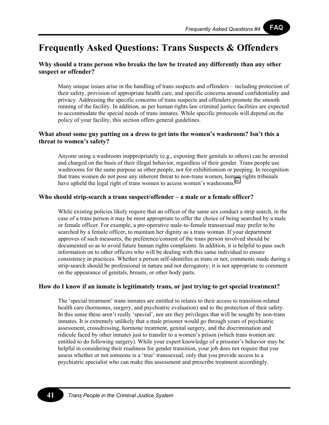FAQ

### **Frequently Asked Questions: Trans Suspects & Offenders**

### **Why should a trans person who breaks the law be treated any differently than any other suspect or offender?**

Many unique issues arise in the handling of trans suspects and offenders – including protection of their safety, provision of appropriate health care, and specific concerns around confidentiality and privacy. Addressing the specific concerns of trans suspects and offenders promote the smooth running of the facility. In addition, as per human rights law criminal justice facilities are expected to accommodate the special needs of trans inmates. While specific protocols will depend on the policy of your facility, this section offers general guidelines.

### **What about some guy putting on a dress to get into the women's washroom? Isn't this a threat to women's safety?**

Anyone using a washroom inappropriately (e.g., exposing their genitals to others) can be arrested and charged on the basis of their illegal behavior, regardless of their gender. Trans people use washrooms for the same purpose as other people, not for exhibitionism or peeping. In recognition that trans women do not pose any inherent threat to non-trans women, human rights tribunals have upheld the legal right of trans women to access women's washrooms.<sup>[49](#page-77-0)</sup>

### **Who should strip-search a trans suspect/offender – a male or a female officer?**

While existing policies likely require that an officer of the same sex conduct a strip search, in the case of a trans person it may be most appropriate to offer the choice of being searched by a male or female officer. For example, a pre-operative male-to-female transsexual may prefer to be searched by a female officer, to maintain her dignity as a trans woman. If your department approves of such measures, the preference/consent of the trans person involved should be documented so as to avoid future human rights complaints. In addition, it is helpful to pass such information on to other officers who will be dealing with this same individual to ensure consistency in practices. Whether a person self-identifies as trans or not, comments made during a strip-search should be professional in nature and not derogatory; it is not appropriate to comment on the appearance of genitals, breasts, or other body parts.

### **How do I know if an inmate is legitimately trans, or just trying to get special treatment?**

The 'special treatment' trans inmates are entitled to relates to their access to transition-related health care (hormones, surgery, and psychiatric evaluation) and to the protection of their safety. In this sense these aren't really 'special', nor are they privileges that will be sought by non-trans inmates. It is extremely unlikely that a male prisoner would go through years of psychiatric assessment, crossdressing, hormone treatment, genital surgery, and the discrimination and ridicule faced by other inmates just to transfer to a women's prison (which trans women are entitled to do following surgery). While your expert knowledge of a prisoner's behavior may be helpful in considering their readiness for gender transition, your job does not require that you assess whether or not someone is a 'true' transsexual, only that you provide access to a psychiatric specialist who can make this assessment and prescribe treatment accordingly.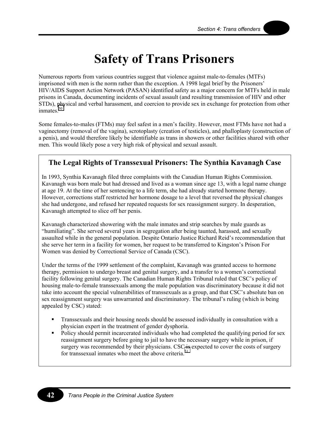### **Safety of Trans Prisoners**

Numerous reports from various countries suggest that violence against male-to-females (MTFs) imprisoned with men is the norm rather than the exception. A 1998 legal brief by the Prisoners' HIV/AIDS Support Action Network (PASAN) identified safety as a major concern for MTFs held in male prisons in Canada, documenting incidents of sexual assault (and resulting transmission of HIV and other STDs), physical and verbal harassment, and coercion to provide sex in exchange for protection from other inmates.<sup>[50](#page-77-0)</sup>

Some females-to-males (FTMs) may feel safest in a men's facility. However, most FTMs have not had a vaginectomy (removal of the vagina), scrotoplasty (creation of testicles), and phalloplasty (construction of a penis), and would therefore likely be identifiable as trans in showers or other facilities shared with other men. This would likely pose a very high risk of physical and sexual assault.

### **The Legal Rights of Transsexual Prisoners: The Synthia Kavanagh Case**

In 1993, Synthia Kavanagh filed three complaints with the Canadian Human Rights Commission. Kavanagh was born male but had dressed and lived as a woman since age 13, with a legal name change at age 19. At the time of her sentencing to a life term, she had already started hormone therapy. However, corrections staff restricted her hormone dosage to a level that reversed the physical changes she had undergone, and refused her repeated requests for sex reassignment surgery. In desperation, Kavanagh attempted to slice off her penis.

Kavanagh characterized showering with the male inmates and strip searches by male guards as "humiliating". She served several years in segregation after being taunted, harassed, and sexually assaulted while in the general population. Despite Ontario Justice Richard Reid's recommendation that she serve her term in a facility for women, her request to be transferred to Kingston's Prison For Women was denied by Correctional Service of Canada (CSC).

Under the terms of the 1999 settlement of the complaint, Kavanagh was granted access to hormone therapy, permission to undergo breast and genital surgery, and a transfer to a women's correctional facility following genital surgery. The Canadian Human Rights Tribunal ruled that CSC's policy of housing male-to-female transsexuals among the male population was discriminatory because it did not take into account the special vulnerabilities of transsexuals as a group, and that CSC's absolute ban on sex reassignment surgery was unwarranted and discriminatory. The tribunal's ruling (which is being appealed by CSC) stated:

- Transsexuals and their housing needs should be assessed individually in consultation with a physician expert in the treatment of gender dysphoria.
- Policy should permit incarcerated individuals who had completed the qualifying period for sex reassignment surgery before going to jail to have the necessary surgery while in prison, if surgery was recommended by their physicians. CSC [is](#page-77-0) expected to cover the costs of surgery for transsexual inmates who meet the above criteria.<sup>51</sup>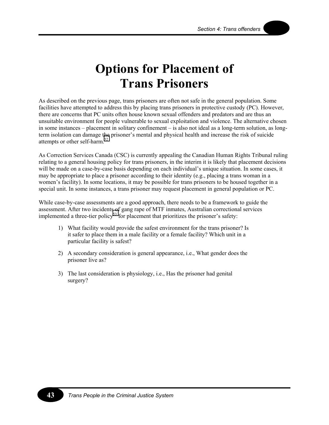## **Options for Placement of Trans Prisoners**

As described on the previous page, trans prisoners are often not safe in the general population. Some facilities have attempted to address this by placing trans prisoners in protective custody (PC). However, there are concerns that PC units often house known sexual offenders and predators and are thus an unsuitable environment for people vulnerable to sexual exploitation and violence. The alternative chosen in some instances – placement in solitary confinement – is also not ideal as a long-term solution, as longterm isolation can damage the prisoner's mental and physical health and increase the risk of suicide attempts or other self-harm.<sup>[52](#page-77-0)</sup>

As Correction Services Canada (CSC) is currently appealing the Canadian Human Rights Tribunal ruling relating to a general housing policy for trans prisoners, in the interim it is likely that placement decisions will be made on a case-by-case basis depending on each individual's unique situation. In some cases, it may be appropriate to place a prisoner according to their identity (e.g., placing a trans woman in a women's facility). In some locations, it may be possible for trans prisoners to be housed together in a special unit. In some instances, a trans prisoner may request placement in general population or PC.

While case-by-case assessments are a good approach, there needs to be a framework to guide the assessment. After two incidents of gang rape of MTF inmates, Australian correctional services implemented a three-tier policy<sup>53</sup> for placement that prioritizes the prisoner's safety:

- 1) What facility would provide the safest environment for the trans prisoner? Is it safer to place them in a male facility or a female facility? Which unit in a particular facility is safest?
- 2) A secondary consideration is general appearance, i.e., What gender does the prisoner live as?
- 3) The last consideration is physiology, i.e., Has the prisoner had genital surgery?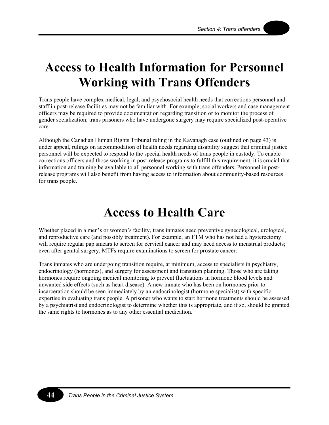### **Access to Health Information for Personnel Working with Trans Offenders**

Trans people have complex medical, legal, and psychosocial health needs that corrections personnel and staff in post-release facilities may not be familiar with. For example, social workers and case management officers may be required to provide documentation regarding transition or to monitor the process of gender socialization; trans prisoners who have undergone surgery may require specialized post-operative care.

Although the Canadian Human Rights Tribunal ruling in the Kavanagh case (outlined on page 43) is under appeal, rulings on accommodation of health needs regarding disability suggest that criminal justice personnel will be expected to respond to the special health needs of trans people in custody. To enable corrections officers and those working in post-release programs to fulfill this requirement, it is crucial that information and training be available to all personnel working with trans offenders. Personnel in postrelease programs will also benefit from having access to information about community-based resources for trans people.

### **Access to Health Care**

Whether placed in a men's or women's facility, trans inmates need preventive gynecological, urological, and reproductive care (and possibly treatment). For example, an FTM who has not had a hysterectomy will require regular pap smears to screen for cervical cancer and may need access to menstrual products; even after genital surgery, MTFs require examinations to screen for prostate cancer.

Trans inmates who are undergoing transition require, at minimum, access to specialists in psychiatry, endocrinology (hormones), and surgery for assessment and transition planning. Those who are taking hormones require ongoing medical monitoring to prevent fluctuations in hormone blood levels and unwanted side effects (such as heart disease). A new inmate who has been on hormones prior to incarceration should be seen immediately by an endocrinologist (hormone specialist) with specific expertise in evaluating trans people. A prisoner who wants to start hormone treatments should be assessed by a psychiatrist and endocrinologist to determine whether this is appropriate, and if so, should be granted the same rights to hormones as to any other essential medication.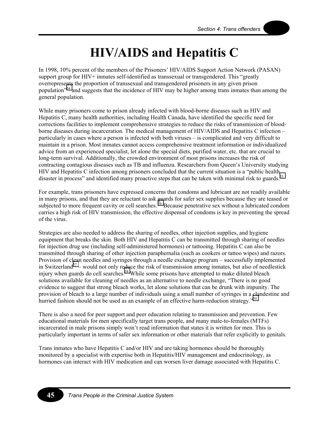## **HIV/AIDS and Hepatitis C**

In 1998, 10% percent of the members of the Prisoners' HIV/AIDS Support Action Network (PASAN) support group for HIV+ inmates self-identified as transsexual or transgendered. This "greatly overrepresents the proportion of transsexual and transgendered prisoners in any given prison population"[54 a](#page-77-0)nd suggests that the incidence of HIV may be higher among trans inmates than among the general population.

While many prisoners come to prison already infected with blood-borne diseases such as HIV and Hepatitis C, many health authorities, including Health Canada, have identified the specific need for corrections facilities to implement comprehensive strategies to reduce the risks of transmission of bloodborne diseases during incarceration. The medical management of HIV/AIDS and Hepatitis C infection – particularly in cases where a person is infected with both viruses – is complicated and very difficult to maintain in a prison. Most inmates cannot access comprehensive treatment information or individualized advice from an experienced specialist, let alone the special diets, purified water, etc. that are crucial to long-term survival. Additionally, the crowded environment of most prisons increases the risk of contracting contagious diseases such as TB and influenza. Researchers from Queen's University studying HIV and Hepatitis C infection among prisoners concluded that the current situation is a "public health disaster in process" and identified many proactive steps that can be taken with minimal risk to guards.<sup>55</sup>

For example, trans prisoners have expressed concerns that condoms and lubricant are not readily available in many prisons, and that they are reluctant to ask guards for safer sex supplies because they are teased or subjected to more frequent cavity or cell searches.<sup>56</sup> Because penetrative sex without a lubricated condom carries a high risk of HIV transmission, the effective dispensal of condoms is key in preventing the spread of the virus.

Strategies are also needed to address the sharing of needles, other injection supplies, and hygiene equipment that breaks the skin. Both HIV and Hepatitis C can be transmitted through sharing of needles for injection drug use (including self-administered hormones) or tattooing. Hepatitis C can also be transmitted through sharing of other injection paraphernalia (such as cookers or tattoo wipes) and razors. Provision of clean needles and syringes through a needle exchange program – successfully implemented in Switzerland<sup>57</sup> – would not only reduce the risk of transmission among inmates, but also of needlestick injury when guards do cell searches.<sup>58</sup> While some prisons have attempted to make diluted bleach solutions available for cleaning of needles as an alternative to needle exchange, "There is no good evidence to suggest that strong bleach works, let alone solutions that can be drunk with impunity. The provision of bleach to a large number of individuals using a small number of syringes in a clandestine and hurried fashion should not be used as an example of an effective harm-reduction strategy."<sup>59</sup>

There is also a need for peer support and peer education relating to transmission and prevention. Few educational materials for men specifically target trans people, and many male-to-females (MTFs) incarcerated in male prisons simply won't read information that states it is written for men. This is particularly important in terms of safer sex information or other materials that refer explicitly to genitals.

Trans inmates who have Hepatitis C and/or HIV and are taking hormones should be thoroughly monitored by a specialist with expertise both in Hepatitis/HIV management and endocrinology, as hormones can interact with HIV medication and can worsen liver damage associated with Hepatitis C.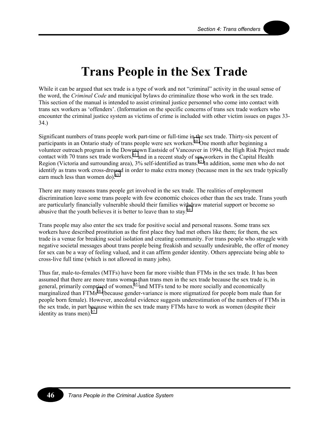## **Trans People in the Sex Trade**

While it can be argued that sex trade is a type of work and not "criminal" activity in the usual sense of the word, the *Criminal Code* and municipal bylaws do criminalize those who work in the sex trade. This section of the manual is intended to assist criminal justice personnel who come into contact with trans sex workers as 'offenders'. (Information on the specific concerns of trans sex trade workers who encounter the criminal justice system as victims of crime is included with other victim issues on pages 33- 34.)

Significant numbers of trans people work part-time or full-time in the sex trade. Thirty-six percent of participants in an Ontario study of trans people were sex workers.<sup>60</sup> One month after beginning a volunteer outreach program in the Downtown Eastside of Vancouver in 1994, the High Risk Project made contact with 70 trans sex trade workers,<sup>61</sup> and in a recent study of sex workers in the Capital Health Region (Victoria and surrounding area),  $3\%$  self-identified as trans.<sup>62</sup> In addition, some men who do not identify as trans work cross-dressed in order to make extra money (because men in the sex trade typically earn much less than women do).<sup>63</sup>

There are many reasons trans people get involved in the sex trade. The realities of employment discrimination leave some trans people with few economic choices other than the sex trade. Trans youth are particularly financially vulnerable should their families withdraw material support or become so abusive that the youth believes it is better to leave than to stay.<sup>[64](#page-77-0)</sup>

Trans people may also enter the sex trade for positive social and personal reasons. Some trans sex workers have described prostitution as the first place they had met others like them; for them, the sex trade is a venue for breaking social isolation and creating community. For trans people who struggle with negative societal messages about trans people being freakish and sexually undesirable, the offer of money for sex can be a way of feeling valued, and it can affirm gender identity. Others appreciate being able to cross-live full time (which is not allowed in many jobs).

Thus far, male-to-females (MTFs) have been far more visible than FTMs in the sex trade. It has been assumed that there are more trans women than trans men in the sex trade because the sex trade is, in general, primarily comprised of women,<sup>65</sup> and MTFs tend to be more socially and economically marginalized than FTMs<sup>66</sup> (because gender-variance is more stigmatized for people born male than for people born female). However, anecdotal evidence suggests underestimation of the numbers of FTMs in the sex trade, in part because within the sex trade many FTMs have to work as women (despite their identity as trans men). $67$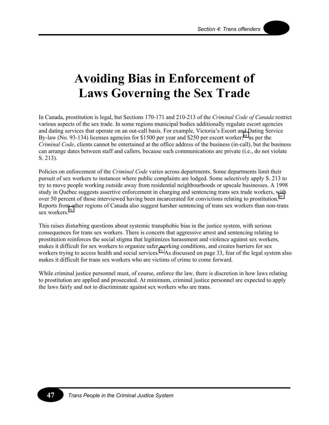## **Avoiding Bias in Enforcement of Laws Governing the Sex Trade**

In Canada, prostitution is legal, but Sections 170-171 and 210-213 of the *Criminal Code of Canada* restrict various aspects of the sex trade. In some regions municipal bodies additionally regulate escort agencies and dating services that operate on an out-call basis. For example, Victoria's Escort and Dating Service By-law (No. 93-134) licenses agencies for \$1500 per year and \$250 per escort worker;<sup>68</sup> as per the *Criminal Code*, clients cannot be entertained at the office address of the business (in-call), but the business can arrange dates between staff and callers, because such communications are private (i.e., do not violate S. 213).

Policies on enforcement of the *Criminal Code* varies across departments. Some departments limit their pursuit of sex workers to instances where public complaints are lodged. Some selectively apply S. 213 to try to move people working outside away from residential neighbourhoods or upscale businesses. A 1998 study in Québec suggests assertive enforcement in charging and sentencing trans sex trade workers, with over 50 percent of those interviewed having been incarcerated for convictions relating to prostitution.<sup>[69](#page-77-0)</sup> Reports from other regions of Canada also suggest harsher sentencing of trans sex workers than non-trans sex workers.<sup>[70](#page-77-0)</sup>

This raises disturbing questions about systemic transphobic bias in the justice system, with serious consequences for trans sex workers. There is concern that aggressive arrest and sentencing relating to prostitution reinforces the social stigma that legitimizes harassment and violence against sex workers, makes it difficult for sex workers to organize safer working conditions, and creates barriers for sex workers trying to access health and social services.<sup>71</sup> As discussed on page 33, fear of the legal system also makes it difficult for trans sex workers who are victims of crime to come forward.

While criminal justice personnel must, of course, enforce the law, there is discretion in how laws relating to prostitution are applied and prosecuted. At minimum, criminal justice personnel are expected to apply the laws fairly and not to discriminate against sex workers who are trans.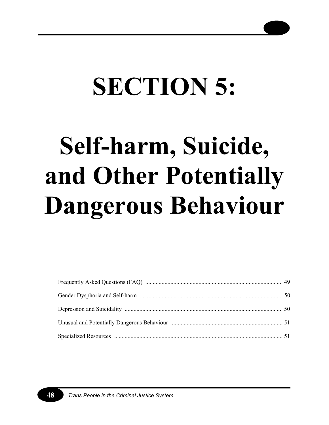# **SECTION 5:**

# **Self-harm, Suicide, and Other Potentially Dangerous Behaviour**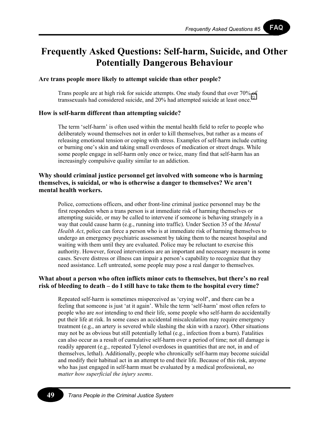**FAQ** 

### **Frequently Asked Questions: Self-harm, Suicide, and Other Potentially Dangerous Behaviour**

### **Are trans people more likely to attempt suicide than other people?**

Trans people are at high risk for suicide attempts. One study found that over 70% of transsexuals had considered suicide, and  $20\%$  had attempted suicide at least once.<sup>72</sup>

### **How is self-harm different than attempting suicide?**

The term 'self-harm' is often used within the mental health field to refer to people who deliberately wound themselves not in order to kill themselves, but rather as a means of releasing emotional tension or coping with stress. Examples of self-harm include cutting or burning one's skin and taking small overdoses of medication or street drugs. While some people engage in self-harm only once or twice, many find that self-harm has an increasingly compulsive quality similar to an addiction.

### **Why should criminal justice personnel get involved with someone who is harming themselves, is suicidal, or who is otherwise a danger to themselves? We aren't mental health workers.**

Police, corrections officers, and other front-line criminal justice personnel may be the first responders when a trans person is at immediate risk of harming themselves or attempting suicide, or may be called to intervene if someone is behaving strangely in a way that could cause harm (e.g., running into traffic). Under Section 35 of the *Mental Health Act*, police can force a person who is at immediate risk of harming themselves to undergo an emergency psychiatric assessment by taking them to the nearest hospital and waiting with them until they are evaluated. Police may be reluctant to exercise this authority. However, forced interventions are an important and necessary measure in some cases. Severe distress or illness can impair a person's capability to recognize that they need assistance. Left untreated, some people may pose a real danger to themselves.

### **What about a person who often inflicts minor cuts to themselves, but there's no real risk of bleeding to death – do I still have to take them to the hospital every time?**

Repeated self-harm is sometimes misperceived as 'crying wolf', and there can be a feeling that someone is just 'at it again'. While the term 'self-harm' most often refers to people who are *not* intending to end their life, some people who self-harm do accidentally put their life at risk. In some cases an accidental miscalculation may require emergency treatment (e.g., an artery is severed while slashing the skin with a razor). Other situations may not be as obvious but still potentially lethal (e.g., infection from a burn). Fatalities can also occur as a result of cumulative self-harm over a period of time; not all damage is readily apparent (e.g., repeated Tylenol overdoses in quantities that are not, in and of themselves, lethal). Additionally, people who chronically self-harm may become suicidal and modify their habitual act in an attempt to end their life. Because of this risk, anyone who has just engaged in self-harm must be evaluated by a medical professional, *no matter how superficial the injury seems*.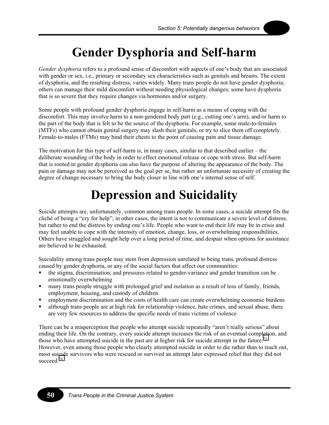

## **Gender Dysphoria and Self-harm**

*Gender dysphoria* refers to a profound sense of discomfort with aspects of one's body that are associated with gender or sex, i.e., primary or secondary sex characteristics such as genitals and breasts. The extent of dysphoria, and the resulting distress, varies widely. Many trans people do not have gender dysphoria; others can manage their mild discomfort without needing physiological changes; some have dysphoria that is so severe that they require changes via hormones and/or surgery.

Some people with profound gender dysphoria engage in self-harm as a means of coping with the discomfort. This may involve harm to a non-gendered body part (e.g., cutting one's arm), and/or harm to the part of the body that is felt to be the source of the dysphoria. For example, some male-to-females (MTFs) who cannot obtain genital surgery may slash their genitals, or try to slice them off completely. Female-to-males (FTMs) may bind their chests to the point of causing pain and tissue damage.

The motivation for this type of self-harm is, in many cases, similar to that described earlier – the deliberate wounding of the body in order to effect emotional release or cope with stress. But self-harm that is rooted in gender dysphoria can also have the purpose of altering the appearance of the body. The pain or damage may not be perceived as the goal per se, but rather an unfortunate necessity of creating the degree of change necessary to bring the body closer in line with one's internal sense of self.

## **Depression and Suicidality**

Suicide attempts are, unfortunately, common among trans people. In some cases, a suicide attempt fits the cliché of being a "cry for help"; in other cases, the intent is not to communicate a severe level of distress, but rather to end the distress by ending one's life. People who want to end their life may be in crisis and may feel unable to cope with the intensity of emotion, change, loss, or overwhelming responsibilities. Others have struggled and sought help over a long period of time, and despair when options for assistance are believed to be exhausted.

Suicidality among trans people may stem from depression unrelated to being trans, profound distress caused by gender dysphoria, or any of the social factors that affect our communities:

- the stigma, discrimination, and pressures related to gender-variance and gender transition can be emotionally overwhelming
- many trans people struggle with prolonged grief and isolation as a result of loss of family, friends, employment, housing, and custody of children
- employment discrimination and the costs of health care can create overwhelming economic burdens
- although trans people are at high risk for relationship violence, hate crimes, and sexual abuse, there are very few resources to address the specific needs of trans victims of violence

There can be a misperception that people who attempt suicide repeatedly "aren't really serious" about ending their life. On the contrary, every suicide attempt increases the risk of an eventual completion, and those who have attempted suicide in the past are at higher risk for suicide attempt in the future.<sup>[73](#page-77-0)</sup> However, even among those people who clearly attempted suicide in order to die rather than to reach out, most suicide survivors who were rescued or survived an attempt later expressed relief that they did not succeed.<sup>[74](#page-77-0)</sup>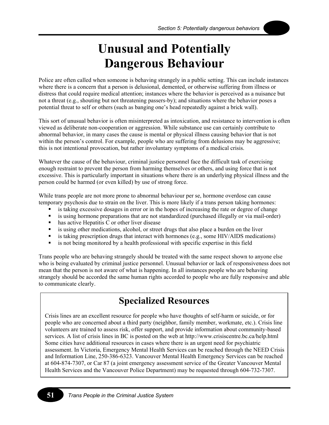### **Unusual and Potentially Dangerous Behaviour**

Police are often called when someone is behaving strangely in a public setting. This can include instances where there is a concern that a person is delusional, demented, or otherwise suffering from illness or distress that could require medical attention; instances where the behavior is perceived as a nuisance but not a threat (e.g., shouting but not threatening passers-by); and situations where the behavior poses a potential threat to self or others (such as banging one's head repeatedly against a brick wall).

This sort of unusual behavior is often misinterpreted as intoxication, and resistance to intervention is often viewed as deliberate non-cooperation or aggression. While substance use can certainly contribute to abnormal behavior, in many cases the cause is mental or physical illness causing behavior that is not within the person's control. For example, people who are suffering from delusions may be aggressive; this is not intentional provocation, but rather involuntary symptoms of a medical crisis.

Whatever the cause of the behaviour, criminal justice personnel face the difficult task of exercising enough restraint to prevent the person from harming themselves or others, and using force that is not excessive. This is particularly important in situations where there is an underlying physical illness and the person could be harmed (or even killed) by use of strong force.

While trans people are not more prone to abnormal behaviour per se, hormone overdose can cause temporary psychosis due to strain on the liver. This is more likely if a trans person taking hormones:

- is taking excessive dosages in error or in the hopes of increasing the rate or degree of change
- is using hormone preparations that are not standardized (purchased illegally or via mail-order)
- has active Hepatitis C or other liver disease
- is using other medications, alcohol, or street drugs that also place a burden on the liver
- **is taking prescription drugs that interact with hormones (e.g., some HIV/AIDS medications)**
- is not being monitored by a health professional with specific expertise in this field

Trans people who are behaving strangely should be treated with the same respect shown to anyone else who is being evaluated by criminal justice personnel. Unusual behavior or lack of responsiveness does not mean that the person is not aware of what is happening. In all instances people who are behaving strangely should be accorded the same human rights accorded to people who are fully responsive and able to communicate clearly.

### **Specialized Resources**

Crisis lines are an excellent resource for people who have thoughts of self-harm or suicide, or for people who are concerned about a third party (neighbor, family member, workmate, etc.). Crisis line volunteers are trained to assess risk, offer support, and provide information about community-based services. A list of crisis lines in BC is posted on the web at http://www.crisiscentre.bc.ca/help.html Some cities have additional resources in cases where there is an urgent need for psychiatric assessment. In Victoria, Emergency Mental Health Services can be reached through the NEED Crisis and Information Line, 250-386-6323. Vancouver Mental Health Emergency Services can be reached at 604-874-7307, or Car 87 (a joint emergency assessment service of the Greater Vancouver Mental Health Services and the Vancouver Police Department) may be requested through 604-732-7307.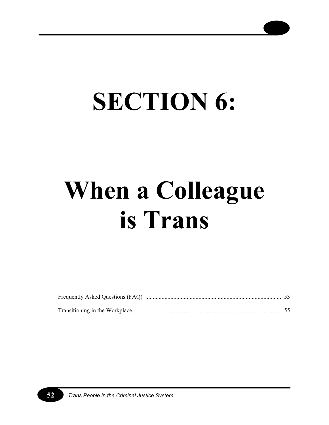

# **SECTION 6:**

# **When a Colleague is Trans**

| Transitioning in the Workplace |  |
|--------------------------------|--|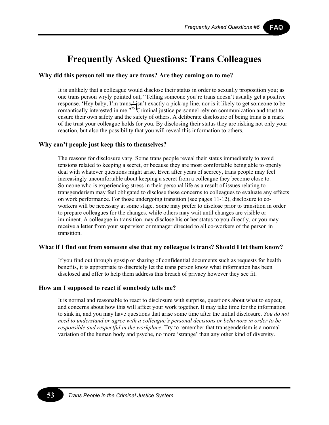FAQ

### **Frequently Asked Questions: Trans Colleagues**

#### **Why did this person tell me they are trans? Are they coming on to me?**

It is unlikely that a colleague would disclose their status in order to sexually proposition you; as one trans person wryly pointed out, "Telling someone you're trans doesn't usually get a positive response. 'Hey baby, I'm trans,' isn't exactly a pick-up line, nor is it likely to get someone to be romantically interested in me."<sup>75</sup> Criminal justice personnel rely on communication and trust to ensure their own safety and the safety of others. A deliberate disclosure of being trans is a mark of the trust your colleague holds for you. By disclosing their status they are risking not only your reaction, but also the possibility that you will reveal this information to others.

#### **Why can't people just keep this to themselves?**

The reasons for disclosure vary. Some trans people reveal their status immediately to avoid tensions related to keeping a secret, or because they are most comfortable being able to openly deal with whatever questions might arise. Even after years of secrecy, trans people may feel increasingly uncomfortable about keeping a secret from a colleague they become close to. Someone who is experiencing stress in their personal life as a result of issues relating to transgenderism may feel obligated to disclose these concerns to colleagues to evaluate any effects on work performance. For those undergoing transition (see pages 11-12), disclosure to coworkers will be necessary at some stage. Some may prefer to disclose prior to transition in order to prepare colleagues for the changes, while others may wait until changes are visible or imminent. A colleague in transition may disclose his or her status to you directly, or you may receive a letter from your supervisor or manager directed to all co-workers of the person in transition.

#### **What if I find out from someone else that my colleague is trans? Should I let them know?**

If you find out through gossip or sharing of confidential documents such as requests for health benefits, it is appropriate to discretely let the trans person know what information has been disclosed and offer to help them address this breach of privacy however they see fit.

#### **How am I supposed to react if somebody tells me?**

It is normal and reasonable to react to disclosure with surprise, questions about what to expect, and concerns about how this will affect your work together. It may take time for the information to sink in, and you may have questions that arise some time after the initial disclosure. *You do not need to understand or agree with a colleague's personal decisions or behaviors in order to be responsible and respectful in the workplace.* Try to remember that transgenderism is a normal variation of the human body and psyche, no more 'strange' than any other kind of diversity.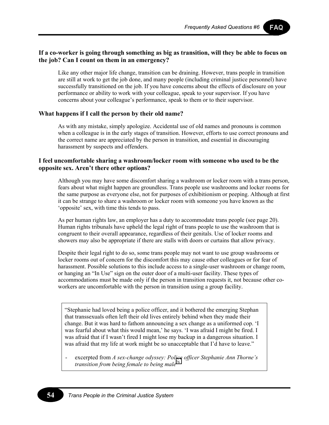FAQ

### **If a co-worker is going through something as big as transition, will they be able to focus on the job? Can I count on them in an emergency?**

Like any other major life change, transition can be draining. However, trans people in transition are still at work to get the job done, and many people (including criminal justice personnel) have successfully transitioned on the job. If you have concerns about the effects of disclosure on your performance or ability to work with your colleague, speak to your supervisor. If you have concerns about your colleague's performance, speak to them or to their supervisor.

### **What happens if I call the person by their old name?**

As with any mistake, simply apologize. Accidental use of old names and pronouns is common when a colleague is in the early stages of transition. However, efforts to use correct pronouns and the correct name are appreciated by the person in transition, and essential in discouraging harassment by suspects and offenders.

### **I feel uncomfortable sharing a washroom/locker room with someone who used to be the opposite sex. Aren't there other options?**

Although you may have some discomfort sharing a washroom or locker room with a trans person, fears about what might happen are groundless. Trans people use washrooms and locker rooms for the same purpose as everyone else, not for purposes of exhibitionism or peeping. Although at first it can be strange to share a washroom or locker room with someone you have known as the 'opposite' sex, with time this tends to pass.

As per human rights law, an employer has a duty to accommodate trans people (see page 20). Human rights tribunals have upheld the legal right of trans people to use the washroom that is congruent to their overall appearance, regardless of their genitals. Use of locker rooms and showers may also be appropriate if there are stalls with doors or curtains that allow privacy.

Despite their legal right to do so, some trans people may not want to use group washrooms or locker rooms out of concern for the discomfort this may cause other colleagues or for fear of harassment. Possible solutions to this include access to a single-user washroom or change room, or hanging an "In Use" sign on the outer door of a multi-user facility. These types of accommodations must be made only if the person in transition requests it, not because other coworkers are uncomfortable with the person in transition using a group facility.

"Stephanie had loved being a police officer, and it bothered the emerging Stephan that transsexuals often left their old lives entirely behind when they made their change. But it was hard to fathom announcing a sex change as a uniformed cop. 'I was fearful about what this would mean,' he says. 'I was afraid I might be fired. I was afraid that if I wasn't fired I might lose my backup in a dangerous situation. I was afraid that my life at work might be so unacceptable that I'd have to leave."

excerpted from *A sex-change odyssey: Police officer Stephanie Ann Thorne's transition from being female to being male*[76](#page-77-0)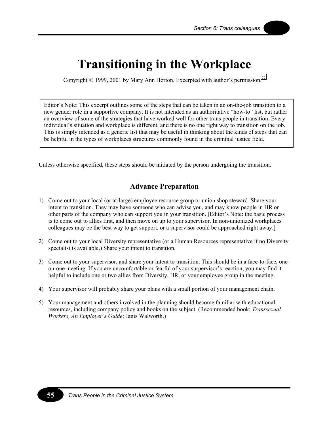### **Transitioning in the Workplace**

Copyright  $© 1999, 2001$  by Mary Ann Horton. Excerpted with author's permission.<sup>77</sup>

Editor's Note: This excerpt outlines some of the steps that can be taken in an on-the-job transition to a new gender role in a supportive company. It is not intended as an authoritative "how-to" list, but rather an overview of some of the strategies that have worked well for other trans people in transition. Every individual's situation and workplace is different, and there is no one right way to transition on the job. This is simply intended as a generic list that may be useful in thinking about the kinds of steps that can be helpful in the types of workplaces structures commonly found in the criminal justice field.

Unless otherwise specified, these steps should be initiated by the person undergoing the transition.

### **Advance Preparation**

- 1) Come out to your local (or at-large) employee resource group or union shop steward. Share your intent to transition. They may have someone who can advise you, and may know people in HR or other parts of the company who can support you in your transition. [Editor's Note: the basic process is to come out to allies first, and then move on up to your supervisor. In non-unionized workplaces colleagues may be the best way to get support, or a supervisor could be approached right away.]
- 2) Come out to your local Diversity representative (or a Human Resources representative if no Diversity specialist is available.) Share your intent to transition.
- 3) Come out to your supervisor, and share your intent to transition. This should be in a face-to-face, oneon-one meeting. If you are uncomfortable or fearful of your surpervisor's reaction, you may find it helpful to include one or two allies from Diversity, HR, or your employee group in the meeting.
- 4) Your supervisor will probably share your plans with a small portion of your management chain.
- 5) Your management and others involved in the planning should become familiar with educational resources, including company policy and books on the subject. (Recommended book: *Transsexual Workers, An Employer's Guide*: Janis Walworth.)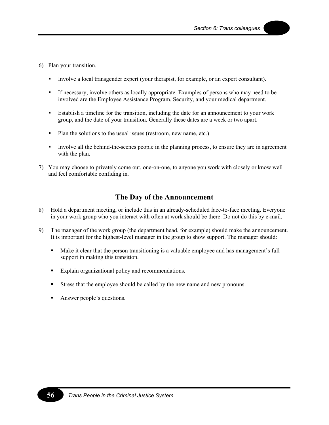- 6) Plan your transition.
	- Involve a local transgender expert (your therapist, for example, or an expert consultant).
	- If necessary, involve others as locally appropriate. Examples of persons who may need to be involved are the Employee Assistance Program, Security, and your medical department.
	- Establish a timeline for the transition, including the date for an announcement to your work group, and the date of your transition. Generally these dates are a week or two apart.
	- Plan the solutions to the usual issues (restroom, new name, etc.)
	- Involve all the behind-the-scenes people in the planning process, to ensure they are in agreement with the plan.
- 7) You may choose to privately come out, one-on-one, to anyone you work with closely or know well and feel comfortable confiding in.

### **The Day of the Announcement**

- 8) Hold a department meeting, or include this in an already-scheduled face-to-face meeting. Everyone in your work group who you interact with often at work should be there. Do not do this by e-mail.
- 9) The manager of the work group (the department head, for example) should make the announcement. It is important for the highest-level manager in the group to show support. The manager should:
	- Make it clear that the person transitioning is a valuable employee and has management's full support in making this transition.
	- Explain organizational policy and recommendations.
	- Stress that the employee should be called by the new name and new pronouns.
	- Answer people's questions.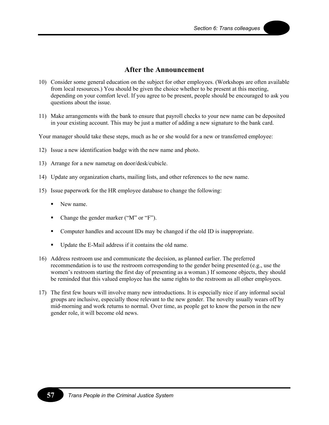### **After the Announcement**

- 10) Consider some general education on the subject for other employees. (Workshops are often available from local resources.) You should be given the choice whether to be present at this meeting, depending on your comfort level. If you agree to be present, people should be encouraged to ask you questions about the issue.
- 11) Make arrangements with the bank to ensure that payroll checks to your new name can be deposited in your existing account. This may be just a matter of adding a new signature to the bank card.

Your manager should take these steps, much as he or she would for a new or transferred employee:

- 12) Issue a new identification badge with the new name and photo.
- 13) Arrange for a new nametag on door/desk/cubicle.
- 14) Update any organization charts, mailing lists, and other references to the new name.
- 15) Issue paperwork for the HR employee database to change the following:
	- New name.
	- Change the gender marker ("M" or "F").
	- Computer handles and account IDs may be changed if the old ID is inappropriate.
	- Update the E-Mail address if it contains the old name.
- 16) Address restroom use and communicate the decision, as planned earlier. The preferred recommendation is to use the restroom corresponding to the gender being presented (e.g., use the women's restroom starting the first day of presenting as a woman.) If someone objects, they should be reminded that this valued employee has the same rights to the restroom as all other employees.
- 17) The first few hours will involve many new introductions. It is especially nice if any informal social groups are inclusive, especially those relevant to the new gender. The novelty usually wears off by mid-morning and work returns to normal. Over time, as people get to know the person in the new gender role, it will become old news.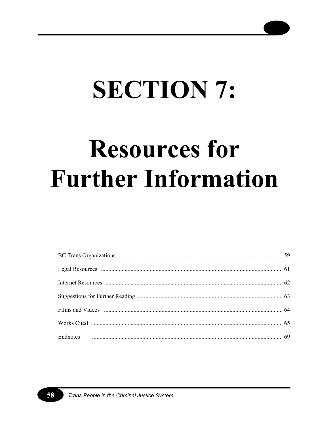# **SECTION 7:**

## **Resources for Further Information**

58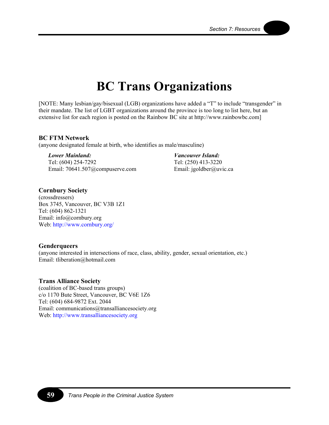### **BC Trans Organizations**

[NOTE: Many lesbian/gay/bisexual (LGB) organizations have added a "T" to include "transgender" in their mandate. The list of LGBT organizations around the province is too long to list here, but an extensive list for each region is posted on the Rainbow BC site at http://www.rainbowbc.com]

#### **BC FTM Network**

(anyone designated female at birth, who identifies as male/masculine)

*Lower Mainland:* 

Tel: (604) 254-7292 Email: 70641.507@compuserve.com

*Vancouver Island:*  Tel: (250) 413-3220 Email: jgoldber@uvic.ca

### **Cornbury Society**

(crossdressers) Box 3745, Vancouver, BC V3B 1Z1 Tel: (604) 862-1321 Email: info@cornbury.org Web:<http://www.cornbury.org/>

### **Genderqueers**

(anyone interested in intersections of race, class, ability, gender, sexual orientation, etc.) Email: tliberation@hotmail.com

### **Trans Alliance Society**

(coalition of BC-based trans groups) c/o 1170 Bute Street, Vancouver, BC V6E 1Z6 Tel: (604) 684-9872 Ext. 2044 Email: communications@transalliancesociety.org Web: [http://www.transalliancesociety.org](http://www.transalliancesociety.org/)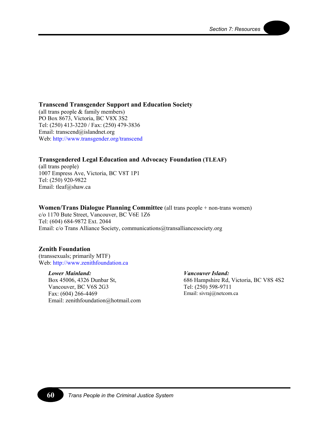### **Transcend Transgender Support and Education Society**

(all trans people & family members) PO Box 8673, Victoria, BC V8X 3S2 Tel: (250) 413-3220 / Fax: (250) 479-3836 Email: transcend@islandnet.org Web: [http://www.transgender.org/transcend](http://www.transgender.org/transcend/) 

### **Transgendered Legal Education and Advocacy Foundation (TLEAF)**

(all trans people) 1007 Empress Ave, Victoria, BC V8T 1P1 Tel: (250) 920-9822 Email: tleaf@shaw.ca

### **Women/Trans Dialogue Planning Committee** (all trans people + non-trans women)

c/o 1170 Bute Street, Vancouver, BC V6E 1Z6 Tel: (604) 684-9872 Ext. 2044 Email: c/o Trans Alliance Society, communications@transalliancesociety.org

### **Zenith Foundation**

(transsexuals; primarily MTF) Web: [http://www.zenithfoundation.ca](http://www.zenithfoundation.ca/) 

#### *Lower Mainland:*

Box 45006, 4326 Dunbar St, Vancouver, BC V6S 2G3 Fax: (604) 266-4469 Email: zenithfoundation@hotmail.com

*Vancouver Island:*  686 Hampshire Rd, Victoria, BC V8S 4S2 Tel: (250) 598-9711

Email: sivraj@netcom.ca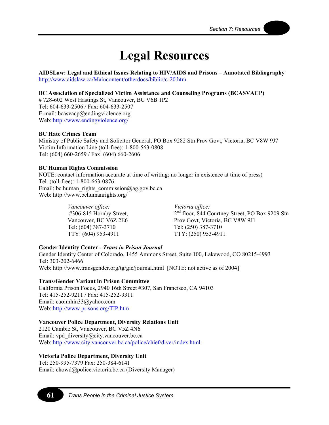### **Legal Resources**

**AIDSLaw: Legal and Ethical Issues Relating to HIV/AIDS and Prisons – Annotated Bibliography**  <http://www.aidslaw.ca/Maincontent/otherdocs/biblio/c-20.htm>

#### **BC Association of Specialized Victim Assistance and Counseling Programs (BCASVACP)**

# 728-602 West Hastings St, Vancouver, BC V6B 1P2 Tel: 604-633-2506 / Fax: 604-633-2507 E-mail: bcasvacp@endingviolence.org Web:<http://www.endingviolence.org/>

#### **BC Hate Crimes Team**

Ministry of Public Safety and Solicitor General, PO Box 9282 Stn Prov Govt, Victoria, BC V8W 9J7 Victim Information Line (toll-free): 1-800-563-0808 Tel: (604) 660-2659 / Fax: (604) 660-2606

#### **BC Human Rights Commission**

NOTE: contact information accurate at time of writing; no longer in existence at time of press) Tel. (toll-free): 1-800-663-0876 Email: bc.human\_rights\_commission@ag.gov.bc.ca Web: http://www.bchumanrights.org/

> *Vancouver office:*  #306-815 Hornby Street, Vancouver, BC V6Z 2E6 Tel: (604) 387-3710 TTY: (604) 953-4911

*Victoria office:*  2<sup>nd</sup> floor, 844 Courtney Street, PO Box 9209 Stn Prov Govt, Victoria, BC V8W 9J1 Tel: (250) 387-3710 TTY: (250) 953-4911

#### **Gender Identity Center -** *Trans in Prison Journal*

Gender Identity Center of Colorado, 1455 Ammons Street, Suite 100, Lakewood, CO 80215-4993 Tel: 303-202-6466 Web: http://www.transgender.org/tg/gic/journal.html [NOTE: not active as of 2004]

#### **Trans/Gender Variant in Prison Committee**

California Prison Focus, 2940 16th Street #307, San Francisco, CA 94103 Tel: 415-252-9211 / Fax: 415-252-9311 Email: caoimhin33@yahoo.com Web:<http://www.prisons.org/TIP.htm>

#### **Vancouver Police Department, Diversity Relations Unit**

2120 Cambie St, Vancouver, BC V5Z 4N6 Email: vpd\_diversity@city.vancouver.bc.ca Web:<http://www.city.vancouver.bc.ca/police/chief/diver/index.html>

### **Victoria Police Department, Diversity Unit**

Tel: 250-995-7379 Fax: 250-384-6141 Email: chowd@police.victoria.bc.ca (Diversity Manager)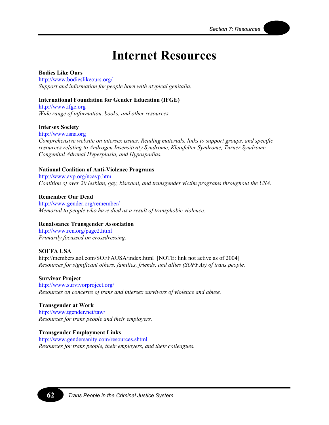### **Internet Resources**

### **Bodies Like Ours**

<http://www.bodieslikeours.org/> *Support and information for people born with atypical genitalia.* 

### **International Foundation for Gender Education (IFGE)**

[http://www.ifge.org](http://www.ifge.org/)  *Wide range of information, books, and other resources.* 

#### **Intersex Society**

[http://www.isna.org](http://www.isna.org/)  *Comprehensive website on intersex issues. Reading materials, links to support groups, and specific resources relating to Androgen Insensitivity Syndrome, Kleinfelter Syndrome, Turner Syndrome, Congenital Adrenal Hyperplasia, and Hypospadias.* 

#### **National Coalition of Anti-Violence Programs**

[http://www.avp.org/ncavp](http://www.avp.org/ncavp.htm).htm *Coalition of over 20 lesbian, gay, bisexual, and transgender victim programs throughout the USA.* 

**Remember Our Dead** <http://www.gender.org/remember/> *Memorial to people who have died as a result of transphobic violence.* 

### **Renaissance Transgender Association**

<http://www.ren.org/page2.html> *Primarily focussed on crossdressing.* 

#### **SOFFA USA**

http://members.aol.com/SOFFAUSA/index.html [NOTE: link not active as of 2004] *Resources for significant others, families, friends, and allies (SOFFAs) of trans people.* 

#### **Survivor Project**

<http://www.survivorproject.org/> *Resources on concerns of trans and intersex survivors of violence and abuse.* 

#### **Transgender at Work**

<http://www.tgender.net/taw/> *Resources for trans people and their employers.* 

#### **Transgender Employment Links**

<http://www.gendersanity.com/resources.shtml> *Resources for trans people, their employers, and their colleagues.*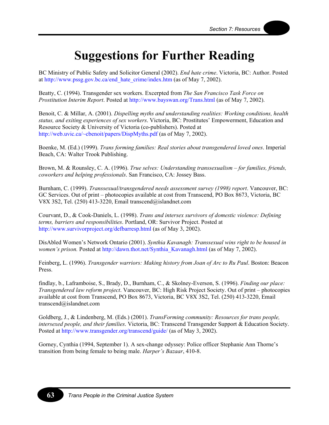### **Suggestions for Further Reading**

BC Ministry of Public Safety and Solicitor General (2002). *End hate crime*. Victoria, BC: Author. Posted at [http://www.pssg.gov.bc.ca/end\\_hate\\_crime/index.htm](http://www.pssg.gov.bc.ca/end_hate_crime/index.htm) (as of May 7, 2002).

Beatty, C. (1994). Transgender sex workers. Excerpted from *The San Francisco Task Force on Prostitution Interim Report*. Posted at [http://www.bayswan.org/Trans.html \(](http://www.bayswan.org/Trans.html)as of May 7, 2002).

Benoit, C. & Millar, A. (2001). *Dispelling myths and understanding realities: Working conditions, health status, and exiting experiences of sex workers*. Victoria, BC: Prostitutes' Empowerment, Education and Resource Society & University of Victoria (co-publishers). Posted at <http://web.uvic.ca/~cbenoit/papers/DispMyths.pdf>(as of May 7, 2002).

Boenke, M. (Ed.) (1999). *Trans forming families: Real stories about transgendered loved ones*. Imperial Beach, CA: Walter Trook Publishing.

Brown, M. & Rounsley, C. A. (1996). *True selves: Understanding transsexualism – for families, friends, coworkers and helping professionals*. San Francisco, CA: Jossey Bass.

Burnham, C. (1999). *Transsexual/transgendered needs assessment survey (1998) report*. Vancouver, BC: GC Services. Out of print – photocopies available at cost from Transcend, PO Box 8673, Victoria, BC V8X 3S2, Tel. (250) 413-3220, Email transcend@islandnet.com

Courvant, D., & Cook-Daniels, L. (1998). *Trans and intersex survivors of domestic violence: Defining terms, barriers and responsibilities*. Portland, OR: Survivor Project. Posted at [http://www.survivorproject.org/defbarresp.html \(](http://www.survivorproject.org/defbarresp.html)as of May 3, 2002).

DisAbled Women's Network Ontario (2001). *Synthia Kavanagh: Transsexual wins right to be housed in women's prison.* Posted at [http://dawn.thot.net/Synthia\\_Kavanagh.html](http://dawn.thot.net/Synthia_Kavanagh.html) (as of May 7, 2002).

Feinberg, L. (1996). *Transgender warriors: Making history from Joan of Arc to Ru Paul*. Boston: Beacon Press.

findlay, b., Laframboise, S., Brady, D., Burnham, C., & Skolney-Everson, S. (1996). *Finding our place: Transgendered law reform project*. Vancouver, BC: High Risk Project Society. Out of print – photocopies available at cost from Transcend, PO Box 8673, Victoria, BC V8X 3S2, Tel. (250) 413-3220, Email transcend@islandnet.com

Goldberg, J., & Lindenberg, M. (Eds.) (2001). *TransForming community: Resources for trans people, intersexed people, and their families*. Victoria, BC: Transcend Transgender Support & Education Society. Posted at [http://www.transgender.org/transcend/guide/ \(](http://www.transgender.org/transcend/guide/)as of May 3, 2002).

Gorney, Cynthia (1994, September 1). A sex-change odyssey: Police officer Stephanie Ann Thorne's transition from being female to being male. *Harper's Bazaar*, 410-8.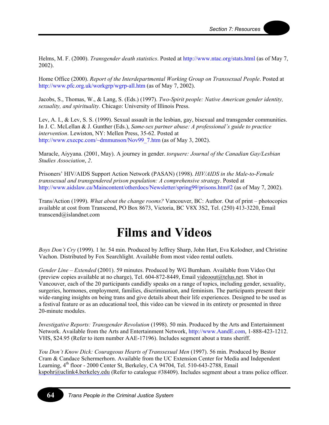Helms, M. F. (2000). *Transgender death statistics*. Posted at [http://www.ntac.org/stats.html \(](http://www.ntac.org/stats.html)as of May 7, 2002).

Home Office (2000). *Report of the Interdepartmental Working Group on Transsexual People*. Posted at <http://www.pfc.org.uk/workgrp/wgrp-all.htm> (as of May 7, 2002).

Jacobs, S., Thomas, W., & Lang, S. (Eds.) (1997). *Two-Spirit people: Native American gender identity, sexuality, and spirituality*. Chicago: University of Illinois Press.

Lev, A. I., & Lev, S. S. (1999). Sexual assault in the lesbian, gay, bisexual and transgender communities. In J. C. McLellan & J. Gunther (Eds.), *Same-sex partner abuse: A professional's guide to practice intervention*. Lewiston, NY: Mellen Press, 35-62. Posted at [http://www.execpc.com/~dmmunson/Nov99\\_7.htm](http://www.execpc.com/~dmmunson/Nov99_7.htm) (as of May 3, 2002).

Maracle, Aiyyana. (2001, May). A journey in gender. *torquere: Journal of the Canadian Gay/Lesbian Studies Association*, *2*.

Prisoners' HIV/AIDS Support Action Network (PASAN) (1998). *HIV/AIDS in the Male-to-Female transsexual and transgendered prison population: A comprehensive strategy*. Posted at <http://www.aidslaw.ca/Maincontent/otherdocs/Newsletter/spring99/prisons.htm#2>(as of May 7, 2002).

Trans/Action (1999). *What about the change rooms?* Vancouver, BC: Author. Out of print – photocopies available at cost from Transcend, PO Box 8673, Victoria, BC V8X 3S2, Tel. (250) 413-3220, Email transcend@islandnet.com

### **Films and Videos**

*Boys Don't Cry* (1999). 1 hr. 54 min. Produced by Jeffrey Sharp, John Hart, Eva Kolodner, and Christine Vachon. Distributed by Fox Searchlight. Available from most video rental outlets.

*Gender Line – Extended* (2001). 59 minutes. Produced by WG Burnham. Available from Video Out (preview copies available at no charge), Tel. 604-872-8449, Email videoout@telus.net. Shot in Vancouver, each of the 20 participants candidly speaks on a range of topics, including gender, sexuality, surgeries, hormones, employment, families, discrimination, and feminism. The participants present their wide-ranging insights on being trans and give details about their life experiences. Designed to be used as a festival feature or as an educational tool, this video can be viewed in its entirety or presented in three 20-minute modules.

*Investigative Reports: Transgender Revolution* (1998). 50 min. Produced by the Arts and Entertainment Network. Available from the Arts and Entertainment Network, [http://www.AandE.com,](http://www.AandE.com/) 1-888-423-1212. VHS, \$24.95 (Refer to item number AAE-17196). Includes segment about a trans sheriff.

*You Don't Know Dick: Courageous Hearts of Transsexual Men* (1997). 56 min. Produced by Bestor Cram & Candace Schermerhorn. Available from the UC Extension Center for Media and Independent Learning,  $4<sup>th</sup>$  floor - 2000 Center St, Berkeley, CA 94704, Tel. 510-643-2788, Email kspohr@uclink4.berkeley.edu (Refer to catalogue #38409). Includes segment about a trans police officer.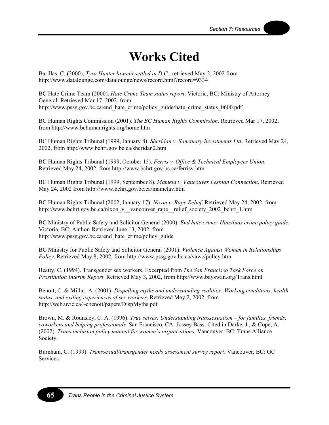### **Works Cited**

Barillas, C. (2000), *Tyra Hunter lawsuit settled in D.C*., retrieved May 2, 2002 from http://www.datalounge.com/datalounge/news/record.html?record=9334

BC Hate Crime Team (2000). *Hate Crime Team status report*. Victoria, BC: Ministry of Attorney General. Retrieved Mar 17, 2002, from http://www.pssg.gov.bc.ca/end\_hate\_crime/policy\_guide/hate\_crime\_status\_0600.pdf

BC Human Rights Commission (2001). *The BC Human Rights Commission*. Retrieved Mar 17, 2002, from http://www.bchumanrights.org/home.htm

BC Human Rights Tribunal (1999, January 8). *Sheridan v. Sanctuary Investments Ltd*. Retrieved May 24, 2002, from http://www.bchrt.gov.bc.ca/sheridan2.htm

BC Human Rights Tribunal (1999, October 15). *Ferris v. Office & Technical Employees Union*. Retrieved May 24, 2002, from http://www.bchrt.gov.bc.ca/ferrisv.htm

BC Human Rights Tribunal (1999, September 8). *Mamela v. Vancouver Lesbian Connection.* Retrieved May 24, 2002 from http://www.bchrt.gov.bc.ca/mamelav.htm

BC Human Rights Tribunal (2002, January 17). *Nixon v. Rape Relief*. Retrieved May 24, 2002, from http://www.bchrt.gov.bc.ca/nixon\_v\_\_vancouver\_rape\_\_relief\_society\_2002\_bchrt\_1.htm

BC Ministry of Public Safety and Solicitor General (2000). *End hate crime: Hate/bias crime policy guide*. Victoria, BC: Author. Retrieved June 13, 2002, from http://www.pssg.gov.bc.ca/end\_hate\_crime/policy\_guide

BC Ministry for Public Safety and Solicitor General (2001). *Violence Against Women in Relationships Policy*. Retrieved May 8, 2002, from http://www.pssg.gov.bc.ca/vawc/policy.htm

Beatty, C. (1994). Transgender sex workers. Excerpted from *The San Francisco Task Force on Prostitution Interim Report*. Retrieved May 3, 2002, from http://www.bayswan.org/Trans.html

Benoit, C. & Millar, A. (2001). *Dispelling myths and understanding realities: Working conditions, health status, and exiting experiences of sex workers*. Retrieved May 2, 2002, from http://web.uvic.ca/~cbenoit/papers/DispMyths.pdf

Brown, M. & Rounsley, C. A. (1996). *True selves: Understanding transsexualism – for families, friends, coworkers and helping professionals*. San Francisco, CA: Jossey Bass. Cited in Darke, J., & Cope, A. (2002). *Trans inclusion policy manual for women's organizations*. Vancouver, BC: Trans Alliance Society.

Burnham, C. (1999). *Transsexual/transgender needs assessment survey report*. Vancouver, BC: GC Services.

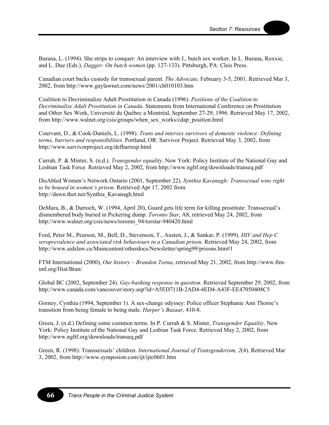Burana, L. (1994). She strips to conquer: An interview with J., butch sex worker. In L. Burana, Roxxie, and L. Due (Eds.), *Dagger: On butch women* (pp. 127-133). Pittsburgh, PA: Cleis Press.

Canadian court backs custody for transsexual parent. *The Advocate,* February 3-5, 2001. Retrieved Mar 3, 2002, from http://www.gaylawnet.com/news/2001/ch010103.htm

Coalition to Decriminalize Adult Prostitution in Canada (1996). *Positions of the Coalition to Decriminalize Adult Prostitution in Canada*. Statements from International Conference on Prostitution and Other Sex Work, Université du Québec a Montréal, September 27-29, 1996. Retrieved May 17, 2002, from http://www.walnet.org/csis/groups/when\_sex\_works/cdap\_position.html

Courvant, D., & Cook-Daniels, L. (1998). *Trans and intersex survivors of domestic violence: Defining terms, barriers and responsibilities*. Portland, OR: Survivor Project. Retrieved May 3, 2002, from http://www.survivorproject.org/defbarresp.html

Currah, P. & Minter, S. (n.d.). *Transgender equality*. New York: Policy Institute of the National Gay and Lesbian Task Force. Retrieved May 2, 2002, from http://www.ngltf.org/downloads/transeq.pdf

DisAbled Women's Network Ontario (2001, September 22). *Synthia Kavanagh: Transsexual wins right to be housed in women's prison.* Retrieved Apr 17, 2002 from http://dawn.thot.net/Synthia\_Kavanagh.html

DeMara, B., & Darroch, W. (1994, April 20), Guard gets life term for killing prostitute: Transsexual's dismembered body buried in Pickering dump. *Toronto Star*, A8, retrieved May 24, 2002, from http://www.walnet.org/csis/news/toronto\_94/torstar-940420.html

Ford, Peter M., Pearson, M., Bell, D., Stevenson, T., Austen, J., & Sankar, P. (1999). *HIV and Hep C seroprevalence and associated risk behaviours in a Canadian prison.* Retrieved May 24, 2002, from http://www.aidslaw.ca/Maincontent/otherdocs/Newsletter/spring99/prisons.htm#1

FTM International (2000), *Our history – Brandon Teena*, retrieved May 21, 2002, from http://www.ftmintl.org/Hist/Bran/

Global BC (2002, September 24). *Gay-bashing response in question.* Retrieved September 29, 2002, from http://www.canada.com/vancouver/story.asp?id=A5ED711B-2AD4-4ED4-A43F-EE47050408C5

Gorney, Cynthia (1994, September 1). A sex-change odyssey: Police officer Stephanie Ann Thorne's transition from being female to being male. *Harper's Bazaar*, 410-8.

Green, J. (n.d.) Defining some common terms. In P. Currah & S. Minter, *Transgender Equality*. New York: Policy Institute of the National Gay and Lesbian Task Force. Retrieved May 2, 2002, from http://www.ngltf.org/downloads/transeq.pdf

Green, R. (1998). Transsexuals' children. *International Journal of Transgenderism, 2*(4). Retrieved Mar 3, 2002, from http://www.symposion.com/ijt/ijtc0601.htm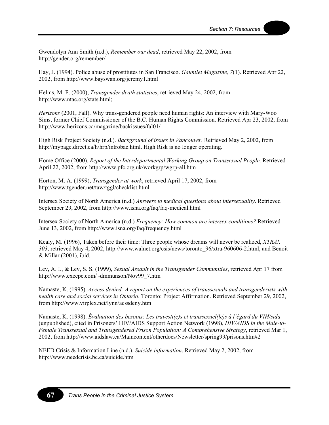Gwendolyn Ann Smith (n.d.), *Remember our dead*, retrieved May 22, 2002, from http://gender.org/remember/

Hay, J. (1994). Police abuse of prostitutes in San Francisco. *Gauntlet Magazine, 7*(1). Retrieved Apr 22, 2002, from http://www.bayswan.org/jeremy1.html

Helms, M. F. (2000), *Transgender death statistics*, retrieved May 24, 2002, from http://www.ntac.org/stats.html;

*Herizons* (2001, Fall). Why trans-gendered people need human rights: An interview with Mary-Woo Sims, former Chief Commissioner of the B.C. Human Rights Commission. Retrieved Apr 23, 2002, from http://www.herizons.ca/magazine/backissues/fal01/

High Risk Project Society (n.d.). *Background of issues in Vancouver*. Retrieved May 2, 2002, from http://mypage.direct.ca/h/hrp/introbac.html. High Risk is no longer operating.

Home Office (2000). *Report of the Interdepartmental Working Group on Transsexual People*. Retrieved April 22, 2002, from http://www.pfc.org.uk/workgrp/wgrp-all.htm

Horton, M. A. (1999), *Transgender at work*, retrieved April 17, 2002, from http://www.tgender.net/taw/tggl/checklist.html

Intersex Society of North America (n.d.) *Answers to medical questions about intersexuality*. Retrieved September 29, 2002, from http://www.isna.org/faq/faq-medical.html

Intersex Society of North America (n.d.) *Frequency: How common are intersex conditions?* Retrieved June 13, 2002, from http://www.isna.org/faq/frequency.html

Kealy, M. (1996), Taken before their time: Three people whose dreams will never be realized, *XTRA!, 303*, retrieved May 4, 2002, http://www.walnet.org/csis/news/toronto\_96/xtra-960606-2.html, and Benoit & Millar (2001), ibid.

Lev, A. I., & Lev, S. S. (1999), *Sexual Assault in the Transgender Communities*, retrieved Apr 17 from http://www.execpc.com/~dmmunson/Nov99\_7.htm

Namaste, K. (1995). *Access denied: A report on the experiences of transsexuals and transgenderists with health care and social services in Ontario*. Toronto: Project Affirmation. Retrieved September 29, 2002, from http://www.virplex.net/lynn/acssdeny.htm

Namaste, K. (1998). *Évaluation des besoins: Les travesti(e)s et transsexuel(le)s à l'égard du VIH/sida* (unpublished), cited in Prisoners' HIV/AIDS Support Action Network (1998), *HIV/AIDS in the Male-to-Female Transsexual and Transgendered Prison Population: A Comprehensive Strategy*, retrieved Mar 1, 2002, from http://www.aidslaw.ca/Maincontent/otherdocs/Newsletter/spring99/prisons.htm#2

NEED Crisis & Information Line (n.d.). *Suicide information*. Retrieved May 2, 2002, from http://www.needcrisis.bc.ca/suicide.htm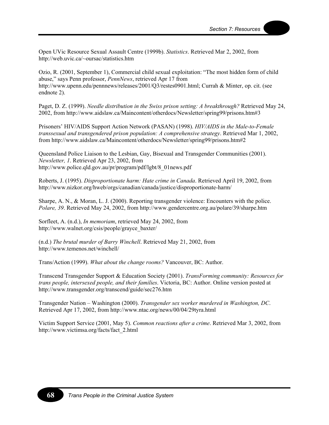Open UVic Resource Sexual Assault Centre (1999b). *Statistics*. Retrieved Mar 2, 2002, from http://web.uvic.ca/~oursac/statistics.htm

Ozio, R. (2001, September 1), Commercial child sexual exploitation: "The most hidden form of child abuse," says Penn professor, *PennNews*, retrieved Apr 17 from http://www.upenn.edu/pennnews/releases/2001/Q3/restes0901.html; Currah & Minter, op. cit. (see endnote 2).

Paget, D. Z. (1999). *Needle distribution in the Swiss prison setting: A breakthrough?* Retrieved May 24, 2002, from http://www.aidslaw.ca/Maincontent/otherdocs/Newsletter/spring99/prisons.htm#3

Prisoners' HIV/AIDS Support Action Network (PASAN) (1998). *HIV/AIDS in the Male-to-Female transsexual and transgendered prison population: A comprehensive strategy*. Retrieved Mar 1, 2002, from http://www.aidslaw.ca/Maincontent/otherdocs/Newsletter/spring99/prisons.htm#2

Queensland Police Liaison to the Lesbian, Gay, Bisexual and Transgender Communities (2001). *Newsletter, 1*. Retrieved Apr 23, 2002, from http://www.police.qld.gov.au/pr/program/pdf/lgbt/8\_01news.pdf

Roberts, J. (1995). *Disproportionate harm: Hate crime in Canada*. Retrieved April 19, 2002, from http://www.nizkor.org/hweb/orgs/canadian/canada/justice/disproportionate-harm/

Sharpe, A. N., & Moran, L. J. (2000). Reporting transgender violence: Encounters with the police. *Polare, 39*. Retrieved May 24, 2002, from http://www.gendercentre.org.au/polare/39/sharpe.htm

Sorfleet, A. (n.d.), *In memoriam*, retrieved May 24, 2002, from http://www.walnet.org/csis/people/grayce\_baxter/

(n.d.) *The brutal murder of Barry Winchell*. Retrieved May 21, 2002, from http://www.temenos.net/winchell/

Trans/Action (1999). *What about the change rooms?* Vancouver, BC: Author.

Transcend Transgender Support & Education Society (2001). *TransForming community: Resources for trans people, intersexed people, and their families*. Victoria, BC: Author. Online version posted at http://www.transgender.org/transcend/guide/sec276.htm

Transgender Nation – Washington (2000). *Transgender sex worker murdered in Washington, DC*. Retrieved Apr 17, 2002, from http://www.ntac.org/news/00/04/29tyra.html

Victim Support Service (2001, May 5). *Common reactions after a crime*. Retrieved Mar 3, 2002, from http://www.victimsa.org/facts/fact\_2.html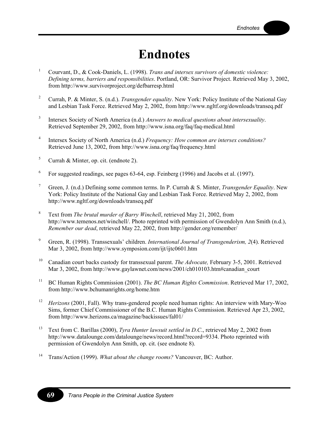## **Endnotes**

- 1 Courvant, D., & Cook-Daniels, L. (1998). *Trans and intersex survivors of domestic violence: Defining terms, barriers and responsibilities*. Portland, OR: Survivor Project. Retrieved May 3, 2002, from http://www.survivorproject.org/defbarresp.html
- 2 Currah, P. & Minter, S. (n.d.). *Transgender equality*. New York: Policy Institute of the National Gay and Lesbian Task Force. Retrieved May 2, 2002, from http://www.ngltf.org/downloads/transeq.pdf
- 3 Intersex Society of North America (n.d.) *Answers to medical questions about intersexuality*. Retrieved September 29, 2002, from http://www.isna.org/faq/faq-medical.html
- 4 Intersex Society of North America (n.d.) *Frequency: How common are intersex conditions?* Retrieved June 13, 2002, from http://www.isna.org/faq/frequency.html
- 5 Currah & Minter, op. cit. (endnote 2).
- <sup>6</sup> For suggested readings, see pages 63-64, esp. Feinberg (1996) and Jacobs et al. (1997).
- 7 Green, J. (n.d.) Defining some common terms. In P. Currah & S. Minter, *Transgender Equality*. New York: Policy Institute of the National Gay and Lesbian Task Force. Retrieved May 2, 2002, from http://www.ngltf.org/downloads/transeq.pdf
- 8 Text from *The brutal murder of Barry Winchell*, retrieved May 21, 2002, from http://www.temenos.net/winchell/. Photo reprinted with permission of Gwendolyn Ann Smith (n.d.), *Remember our dead*, retrieved May 22, 2002, from http://gender.org/remember/
- 9 Green, R. (1998). Transsexuals' children. *International Journal of Transgenderism, 2*(4). Retrieved Mar 3, 2002, from http://www.symposion.com/ijt/ijtc0601.htm
- 10 Canadian court backs custody for transsexual parent. *The Advocate,* February 3-5, 2001. Retrieved Mar 3, 2002, from http://www.gaylawnet.com/news/2001/ch010103.htm#canadian\_court
- 11 BC Human Rights Commission (2001). *The BC Human Rights Commission*. Retrieved Mar 17, 2002, from http://www.bchumanrights.org/home.htm
- <sup>12</sup> *Herizons* (2001, Fall). Why trans-gendered people need human rights: An interview with Mary-Woo Sims, former Chief Commissioner of the B.C. Human Rights Commission. Retrieved Apr 23, 2002, from http://www.herizons.ca/magazine/backissues/fal01/
- <sup>13</sup> Text from C. Barillas (2000), *Tyra Hunter lawsuit settled in D.C.*, retrieved May 2, 2002 from http://www.datalounge.com/datalounge/news/record.html?record=9334. Photo reprinted with permission of Gwendolyn Ann Smith, op. cit. (see endnote 8).
- 14 Trans/Action (1999). *What about the change rooms?* Vancouver, BC: Author.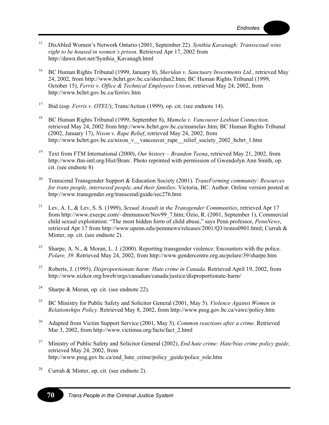- 15 DisAbled Women's Network Ontario (2001, September 22). *Synthia Kavanagh: Transsexual wins right to be housed in women's prison.* Retrieved Apr 17, 2002 from http://dawn.thot.net/Synthia\_Kavanagh.html
- 16 BC Human Rights Tribunal (1999, January 8), *Sheridan v. Sanctuary Investments Ltd.*, retrieved May 24, 2002, from http://www.bchrt.gov.bc.ca/sheridan2.htm; BC Human Rights Tribunal (1999, October 15), *Ferris v. Office & Technical Employees Union*, retrieved May 24, 2002, from http://www.bchrt.gov.bc.ca/ferrisv.htm
- 17 Ibid (esp. *Ferris v. OTEU*); Trans/Action (1999), op. cit. (see endnote 14).
- 18 BC Human Rights Tribunal (1999, September 8), *Mamela v. Vancouver Lesbian Connection,*  retrieved May 24, 2002 from http://www.bchrt.gov.bc.ca/mamelav.htm; BC Human Rights Tribunal (2002, January 17), *Nixon v. Rape Relief*, retrieved May 24, 2002, from http://www.bchrt.gov.bc.ca/nixon\_v\_\_vancouver\_rape\_\_relief\_society\_2002\_bchrt\_1.htm
- 19 Text from FTM International (2000), *Our history Brandon Teena*, retrieved May 21, 2002, from http://www.ftm-intl.org/Hist/Bran/. Photo reprinted with permission of Gwendolyn Ann Smith, op. cit. (see endnote 8)
- 20 Transcend Transgender Support & Education Society (2001). *TransForming community: Resources for trans people, intersexed people, and their families*. Victoria, BC: Author. Online version posted at http://www.transgender.org/transcend/guide/sec276.htm
- 21 Lev, A. I., & Lev, S. S. (1999), *Sexual Assault in the Transgender Communities*, retrieved Apr 17 from http://www.execpc.com/~dmmunson/Nov99\_7.htm; Ozio, R. (2001, September 1), Commercial child sexual exploitation: "The most hidden form of child abuse," says Penn professor, *PennNews*, retrieved Apr 17 from http://www.upenn.edu/pennnews/releases/2001/Q3/restes0901.html; Currah & Minter, op. cit. (see endnote 2).
- <sup>22</sup> Sharpe, A. N., & Moran, L. J. (2000). Reporting transgender violence: Encounters with the police. *Polare, 39*. Retrieved May 24, 2002, from http://www.gendercentre.org.au/polare/39/sharpe.htm
- 23 Roberts, J. (1995). *Disproportionate harm: Hate crime in Canada*. Retrieved April 19, 2002, from http://www.nizkor.org/hweb/orgs/canadian/canada/justice/disproportionate-harm/
- <sup>24</sup> Sharpe & Moran, op. cit. (see endnote 22).
- 25 BC Ministry for Public Safety and Solicitor General (2001, May 5). *Violence Against Women in Relationships Policy*. Retrieved May 8, 2002, from http://www.pssg.gov.bc.ca/vawc/policy.htm
- 26 Adapted from Victim Support Service (2001, May 5). *Common reactions after a crime*. Retrieved Mar 3, 2002, from http://www.victimsa.org/facts/fact\_2.html
- 27 Ministry of Public Safety and Solicitor General (2002), *End hate crime: Hate/bias crime policy guide,*  retrieved May 24, 2002, from http://www.pssg.gov.bc.ca/end\_hate\_crime/policy\_guide/police\_role.htm
- <sup>28</sup> Currah & Minter, op. cit. (see endnote 2).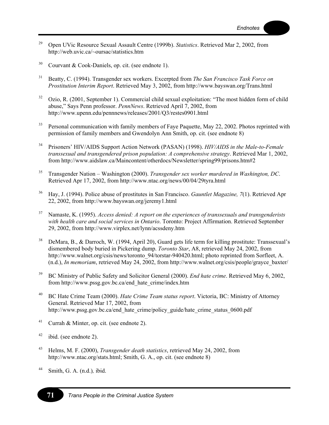- 29 Open UVic Resource Sexual Assault Centre (1999b). *Statistics*. Retrieved Mar 2, 2002, from http://web.uvic.ca/~oursac/statistics.htm
- $30$  Courvant & Cook-Daniels, op. cit. (see endnote 1).
- 31 Beatty, C. (1994). Transgender sex workers. Excerpted from *The San Francisco Task Force on Prostitution Interim Report*. Retrieved May 3, 2002, from http://www.bayswan.org/Trans.html
- <sup>32</sup> Ozio, R. (2001, September 1). Commercial child sexual exploitation: "The most hidden form of child abuse," Says Penn professor. *PennNews*. Retrieved April 7, 2002, from http://www.upenn.edu/pennnews/releases/2001/Q3/restes0901.html
- <sup>33</sup> Personal communication with family members of Faye Paquette, May 22, 2002. Photos reprinted with permission of family members and Gwendolyn Ann Smith, op. cit. (see endnote 8)
- 34 Prisoners' HIV/AIDS Support Action Network (PASAN) (1998). *HIV/AIDS in the Male-to-Female transsexual and transgendered prison population: A comprehensive strategy*. Retrieved Mar 1, 2002, from http://www.aidslaw.ca/Maincontent/otherdocs/Newsletter/spring99/prisons.htm#2
- 35 Transgender Nation Washington (2000). *Transgender sex worker murdered in Washington, DC*. Retrieved Apr 17, 2002, from http://www.ntac.org/news/00/04/29tyra.html
- 36 Hay, J. (1994). Police abuse of prostitutes in San Francisco. *Gauntlet Magazine, 7*(1). Retrieved Apr 22, 2002, from http://www.bayswan.org/jeremy1.html
- 37 Namaste, K. (1995). *Access denied: A report on the experiences of transsexuals and transgenderists with health care and social services in Ontario*. Toronto: Project Affirmation. Retrieved September 29, 2002, from http://www.virplex.net/lynn/acssdeny.htm
- 38 DeMara, B., & Darroch, W. (1994, April 20), Guard gets life term for killing prostitute: Transsexual's dismembered body buried in Pickering dump. *Toronto Star*, A8, retrieved May 24, 2002, from http://www.walnet.org/csis/news/toronto\_94/torstar-940420.html; photo reprinted from Sorfleet, A. (n.d.), *In memoriam*, retrieved May 24, 2002, from http://www.walnet.org/csis/people/grayce\_baxter/
- 39 BC Ministry of Public Safety and Solicitor General (2000). *End hate crime*. Retrieved May 6, 2002, from http://www.pssg.gov.bc.ca/end\_hate\_crime/index.htm
- 40 BC Hate Crime Team (2000). *Hate Crime Team status report*. Victoria, BC: Ministry of Attorney General. Retrieved Mar 17, 2002, from http://www.pssg.gov.bc.ca/end\_hate\_crime/policy\_guide/hate\_crime\_status\_0600.pdf
- <sup>41</sup> Currah & Minter, op. cit. (see endnote 2).
- $42$  ibid. (see endnote 2).
- 43 Helms, M. F. (2000), *Transgender death statistics*, retrieved May 24, 2002, from http://www.ntac.org/stats.html; Smith, G. A., op. cit. (see endnote 8)
- 44 Smith, G. A. (n.d.)*,* ibid.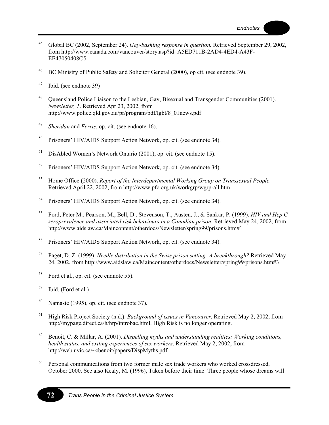- 45 Global BC (2002, September 24). *Gay-bashing response in question.* Retrieved September 29, 2002, from http://www.canada.com/vancouver/story.asp?id=A5ED711B-2AD4-4ED4-A43F-EE47050408C5
- 46 BC Ministry of Public Safety and Solicitor General (2000), op cit. (see endnote 39).
- 47 Ibid. (see endnote 39)
- <sup>48</sup> Queensland Police Liaison to the Lesbian, Gay, Bisexual and Transgender Communities (2001). *Newsletter, 1*. Retrieved Apr 23, 2002, from http://www.police.qld.gov.au/pr/program/pdf/lgbt/8\_01news.pdf
- 49 *Sheridan* and *Ferris*, op. cit. (see endnote 16).
- 50 Prisoners' HIV/AIDS Support Action Network, op. cit. (see endnote 34).
- 51 DisAbled Women's Network Ontario (2001), op. cit. (see endnote 15).
- 52 Prisoners' HIV/AIDS Support Action Network, op. cit. (see endnote 34).
- 53 Home Office (2000). *Report of the Interdepartmental Working Group on Transsexual People*. Retrieved April 22, 2002, from http://www.pfc.org.uk/workgrp/wgrp-all.htm
- 54 Prisoners' HIV/AIDS Support Action Network, op. cit. (see endnote 34).
- 55 Ford, Peter M., Pearson, M., Bell, D., Stevenson, T., Austen, J., & Sankar, P. (1999). *HIV and Hep C seroprevalence and associated risk behaviours in a Canadian prison.* Retrieved May 24, 2002, from http://www.aidslaw.ca/Maincontent/otherdocs/Newsletter/spring99/prisons.htm#1
- 56 Prisoners' HIV/AIDS Support Action Network, op. cit. (see endnote 34).
- 57 Paget, D. Z. (1999). *Needle distribution in the Swiss prison setting: A breakthrough?* Retrieved May 24, 2002, from http://www.aidslaw.ca/Maincontent/otherdocs/Newsletter/spring99/prisons.htm#3
- 58 Ford et al., op. cit. (see endnote 55).
- $59$  Ibid. (Ford et al.)
- <sup>60</sup> Namaste (1995), op. cit. (see endnote 37).
- 61 High Risk Project Society (n.d.). *Background of issues in Vancouver*. Retrieved May 2, 2002, from http://mypage.direct.ca/h/hrp/introbac.html. High Risk is no longer operating.
- 62 Benoit, C. & Millar, A. (2001). *Dispelling myths and understanding realities: Working conditions, health status, and exiting experiences of sex workers*. Retrieved May 2, 2002, from http://web.uvic.ca/~cbenoit/papers/DispMyths.pdf
- $63$  Personal communications from two former male sex trade workers who worked crossdressed. October 2000. See also Kealy, M. (1996), Taken before their time: Three people whose dreams will